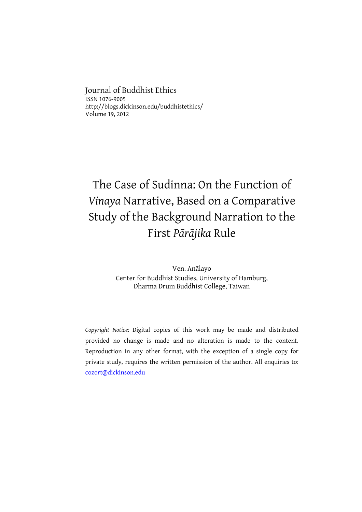Journal of Buddhist Ethics ISSN 1076-9005 http://blogs.dickinson.edu/buddhistethics/ Volume 19, 2012

# The Case of Sudinna: On the Function of Vinaya Narrative, Based on a Comparative Study of the Background Narration to the First Pārājika Rule

Ven. Anālayo Center for Buddhist Studies, University of Hamburg, Dharma Drum Buddhist College, Taiwan

Copyright Notice: Digital copies of this work may be made and distributed provided no change is made and no alteration is made to the content. Reproduction in any other format, with the exception of a single copy for private study, requires the written permission of the author. All enquiries to: cozort@dickinson.edu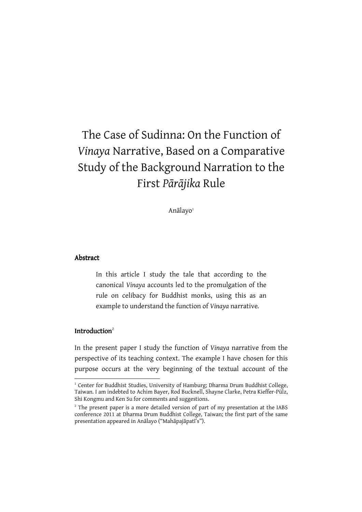# The Case of Sudinna: On the Function of Vinaya Narrative, Based on a Comparative Study of the Background Narration to the First Pārājika Rule

Anālayo<sup>1</sup>

#### Abstract

In this article I study the tale that according to the canonical Vinaya accounts led to the promulgation of the rule on celibacy for Buddhist monks, using this as an example to understand the function of Vinaya narrative.

### Introduction $2$

l

In the present paper I study the function of Vinaya narrative from the perspective of its teaching context. The example I have chosen for this purpose occurs at the very beginning of the textual account of the

<sup>&</sup>lt;sup>1</sup> Center for Buddhist Studies, University of Hamburg; Dharma Drum Buddhist College, Taiwan. I am indebted to Achim Bayer, Rod Bucknell, Shayne Clarke, Petra Kieffer-Pülz, Shi Kongmu and Ken Su for comments and suggestions.

 $2^2$  The present paper is a more detailed version of part of my presentation at the IABS conference 2011 at Dharma Drum Buddhist College, Taiwan; the first part of the same presentation appeared in Anālayo ("Mahāpajāpatī's").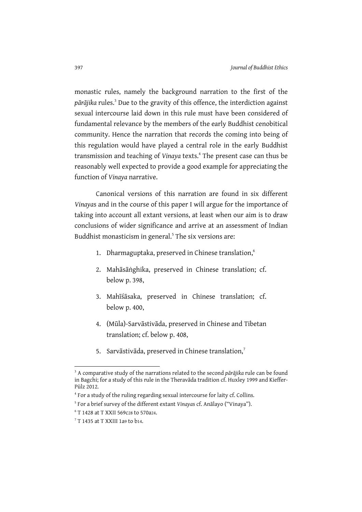monastic rules, namely the background narration to the first of the pārājika rules.<sup>3</sup> Due to the gravity of this offence, the interdiction against sexual intercourse laid down in this rule must have been considered of fundamental relevance by the members of the early Buddhist cenobitical community. Hence the narration that records the coming into being of this regulation would have played a central role in the early Buddhist transmission and teaching of Vinaya texts.<sup>4</sup> The present case can thus be reasonably well expected to provide a good example for appreciating the function of Vinaya narrative.

Canonical versions of this narration are found in six different Vinayas and in the course of this paper I will argue for the importance of taking into account all extant versions, at least when our aim is to draw conclusions of wider significance and arrive at an assessment of Indian Buddhist monasticism in general.<sup>5</sup> The six versions are:

- 1. Dharmaguptaka, preserved in Chinese translation,<sup>6</sup>
- 2. Mahāsāṅghika, preserved in Chinese translation; cf. below p. 398,
- 3. Mahīśāsaka, preserved in Chinese translation; cf. below p. 400,
- 4. (Mūla)-Sarvāstivāda, preserved in Chinese and Tibetan translation; cf. below p. 408,
- 5. Sarvāstivāda, preserved in Chinese translation,<sup>7</sup>

 $\overline{a}$ 

 $3$  A comparative study of the narrations related to the second pārājika rule can be found in Bagchi; for a study of this rule in the Theravāda tradition cf. Huxley 1999 and Kieffer-Pülz 2012.

<sup>4</sup> For a study of the ruling regarding sexual intercourse for laity cf. Collins.

<sup>&</sup>lt;sup>5</sup> For a brief survey of the different extant Vinayas cf. Anālayo ("Vinaya").

<sup>6</sup> T 1428 at T XXII 569c28 to 570a24.

 $7$  T 1435 at T XXIII 1a9 to b14.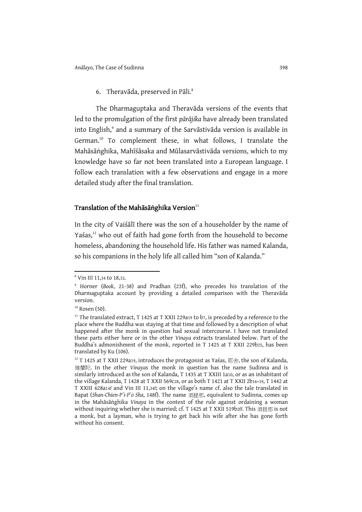6. Theravāda, preserved in Pāli.<sup>8</sup>

The Dharmaguptaka and Theravāda versions of the events that led to the promulgation of the first pārājika have already been translated into English,<sup>9</sup> and a summary of the Sarvāstivāda version is available in German.<sup>10</sup> To complement these, in what follows, I translate the Mahāsāṅghika, Mahīśāsaka and Mūlasarvāstivāda versions, which to my knowledge have so far not been translated into a European language. I follow each translation with a few observations and engage in a more detailed study after the final translation.

### Translation of the Mahāsāṅghika Version $^{\rm n}$

In the city of Vaiśālī there was the son of a householder by the name of Yaśas,<sup>12</sup> who out of faith had gone forth from the household to become homeless, abandoning the household life. His father was named Kalanda, so his companions in the holy life all called him "son of Kalanda."

 $\overline{a}$ 

<sup>8</sup> Vin III 11,34 to 18,32.

<sup>9</sup> Horner (Book, 21-38) and Pradhan (23f), who precedes his translation of the Dharmaguptaka account by providing a detailed comparison with the Theravāda version.

 $10$  Rosen (50).

 $11$  The translated extract, T 1425 at T XXII 229a19 to b7, is preceded by a reference to the place where the Buddha was staying at that time and followed by a description of what happened after the monk in question had sexual intercourse. I have not translated these parts either here or in the other Vinaya extracts translated below. Part of the Buddha's admonishment of the monk, reported in T 1425 at T XXII 229b25, has been translated by Ku (106).

 $12$  T 1425 at T XXII 229a19, introduces the protagonist as Yaśas, 耶舍, the son of Kalanda, 迦蘭陀. In the other Vinayas the monk in question has the name Sudinna and is similarly introduced as the son of Kalanda, T 1435 at T XXIII 1a10, or as an inhabitant of the village Kalanda, T 1428 at T XXII 569c28, or as both T 1421 at T XXII 2b16+19, T 1442 at T XXIII 628a14f and Vin III 11,34f; on the village's name cf. also the tale translated in Bapat (Shan-Chien-P'i-P'o Sha, 148f). The name 須提那, equivalent to Sudinna, comes up in the Mahāsāṅghika Vinaya in the context of the rule against ordaining a woman without inquiring whether she is married; cf. T 1425 at T XXII 519b2ff. This 須提那 is not a monk, but a layman, who is trying to get back his wife after she has gone forth without his consent.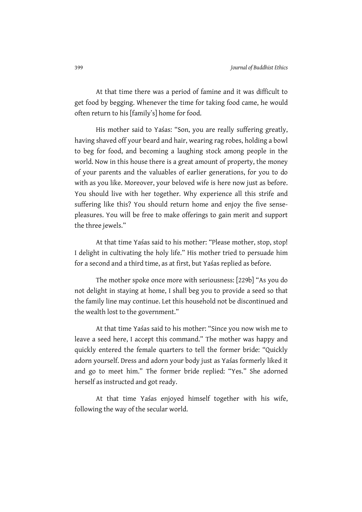At that time there was a period of famine and it was difficult to get food by begging. Whenever the time for taking food came, he would often return to his [family's] home for food.

His mother said to Yaśas: "Son, you are really suffering greatly, having shaved off your beard and hair, wearing rag robes, holding a bowl to beg for food, and becoming a laughing stock among people in the world. Now in this house there is a great amount of property, the money of your parents and the valuables of earlier generations, for you to do with as you like. Moreover, your beloved wife is here now just as before. You should live with her together. Why experience all this strife and suffering like this? You should return home and enjoy the five sensepleasures. You will be free to make offerings to gain merit and support the three jewels."

At that time Yaśas said to his mother: "Please mother, stop, stop! I delight in cultivating the holy life." His mother tried to persuade him for a second and a third time, as at first, but Yaśas replied as before.

The mother spoke once more with seriousness: [229b] "As you do not delight in staying at home, I shall beg you to provide a seed so that the family line may continue. Let this household not be discontinued and the wealth lost to the government."

At that time Yaśas said to his mother: "Since you now wish me to leave a seed here, I accept this command." The mother was happy and quickly entered the female quarters to tell the former bride: "Quickly adorn yourself. Dress and adorn your body just as Yaśas formerly liked it and go to meet him." The former bride replied: "Yes." She adorned herself as instructed and got ready.

At that time Yaśas enjoyed himself together with his wife, following the way of the secular world.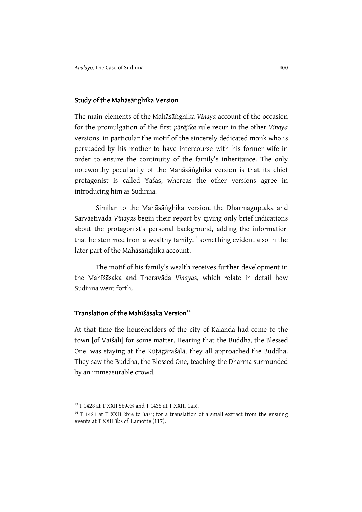#### Study of the Mahāsāṅghika Version

The main elements of the Mahāsāṅghika Vinaya account of the occasion for the promulgation of the first pārājika rule recur in the other Vinaya versions, in particular the motif of the sincerely dedicated monk who is persuaded by his mother to have intercourse with his former wife in order to ensure the continuity of the family's inheritance. The only noteworthy peculiarity of the Mahāsāṅghika version is that its chief protagonist is called Yaśas, whereas the other versions agree in introducing him as Sudinna.

Similar to the Mahāsāṅghika version, the Dharmaguptaka and Sarvāstivāda Vinayas begin their report by giving only brief indications about the protagonist's personal background, adding the information that he stemmed from a wealthy family, $13$  something evident also in the later part of the Mahāsāṅghika account.

The motif of his family's wealth receives further development in the Mahīśāsaka and Theravāda Vinayas, which relate in detail how Sudinna went forth.

### Translation of the Mahīśāsaka Version $14$

At that time the householders of the city of Kalanda had come to the town [of Vaiśālī] for some matter. Hearing that the Buddha, the Blessed One, was staying at the Kūṭāgāraśālā, they all approached the Buddha. They saw the Buddha, the Blessed One, teaching the Dharma surrounded by an immeasurable crowd.

<sup>13</sup> T 1428 at T XXII 569c29 and T 1435 at T XXIII 1a10.

 $14$  T 1421 at T XXII 2b16 to 3a24; for a translation of a small extract from the ensuing events at T XXII 3b8 cf. Lamotte (117).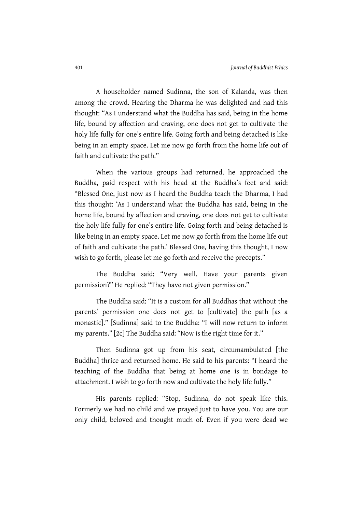A householder named Sudinna, the son of Kalanda, was then among the crowd. Hearing the Dharma he was delighted and had this thought: "As I understand what the Buddha has said, being in the home life, bound by affection and craving, one does not get to cultivate the holy life fully for one's entire life. Going forth and being detached is like being in an empty space. Let me now go forth from the home life out of faith and cultivate the path."

When the various groups had returned, he approached the Buddha, paid respect with his head at the Buddha's feet and said: "Blessed One, just now as I heard the Buddha teach the Dharma, I had this thought: ʻAs I understand what the Buddha has said, being in the home life, bound by affection and craving, one does not get to cultivate the holy life fully for one's entire life. Going forth and being detached is like being in an empty space. Let me now go forth from the home life out of faith and cultivate the path.' Blessed One, having this thought, I now wish to go forth, please let me go forth and receive the precepts."

The Buddha said: "Very well. Have your parents given permission?" He replied: "They have not given permission."

The Buddha said: "It is a custom for all Buddhas that without the parents' permission one does not get to [cultivate] the path [as a monastic]." [Sudinna] said to the Buddha: "I will now return to inform my parents." [2c] The Buddha said: "Now is the right time for it."

Then Sudinna got up from his seat, circumambulated [the Buddha] thrice and returned home. He said to his parents: "I heard the teaching of the Buddha that being at home one is in bondage to attachment. I wish to go forth now and cultivate the holy life fully."

His parents replied: "Stop, Sudinna, do not speak like this. Formerly we had no child and we prayed just to have you. You are our only child, beloved and thought much of. Even if you were dead we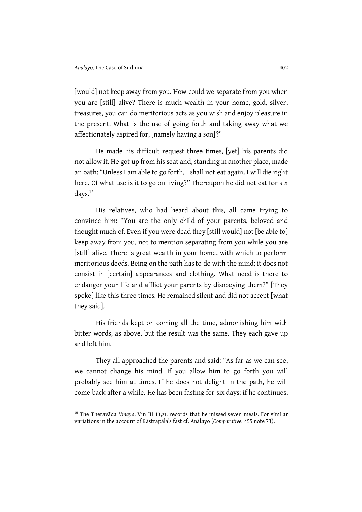l

[would] not keep away from you. How could we separate from you when you are [still] alive? There is much wealth in your home, gold, silver, treasures, you can do meritorious acts as you wish and enjoy pleasure in the present. What is the use of going forth and taking away what we affectionately aspired for, [namely having a son]?"

He made his difficult request three times, [yet] his parents did not allow it. He got up from his seat and, standing in another place, made an oath: "Unless I am able to go forth, I shall not eat again. I will die right here. Of what use is it to go on living?" Thereupon he did not eat for six days.<sup>15</sup>

His relatives, who had heard about this, all came trying to convince him: "You are the only child of your parents, beloved and thought much of. Even if you were dead they [still would] not [be able to] keep away from you, not to mention separating from you while you are [still] alive. There is great wealth in your home, with which to perform meritorious deeds. Being on the path has to do with the mind; it does not consist in [certain] appearances and clothing. What need is there to endanger your life and afflict your parents by disobeying them?" [They spoke] like this three times. He remained silent and did not accept [what they said].

His friends kept on coming all the time, admonishing him with bitter words, as above, but the result was the same. They each gave up and left him.

They all approached the parents and said: "As far as we can see, we cannot change his mind. If you allow him to go forth you will probably see him at times. If he does not delight in the path, he will come back after a while. He has been fasting for six days; if he continues,

<sup>&</sup>lt;sup>15</sup> The Theravāda Vinaya, Vin III 13,21, records that he missed seven meals. For similar variations in the account of Rāṣṭrapāla's fast cf. Anālayo (Comparative, 455 note 73).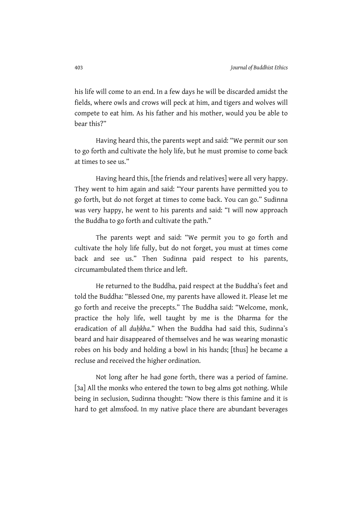his life will come to an end. In a few days he will be discarded amidst the fields, where owls and crows will peck at him, and tigers and wolves will compete to eat him. As his father and his mother, would you be able to bear this?"

Having heard this, the parents wept and said: "We permit our son to go forth and cultivate the holy life, but he must promise to come back at times to see us."

Having heard this, [the friends and relatives] were all very happy. They went to him again and said: "Your parents have permitted you to go forth, but do not forget at times to come back. You can go." Sudinna was very happy, he went to his parents and said: "I will now approach the Buddha to go forth and cultivate the path."

The parents wept and said: "We permit you to go forth and cultivate the holy life fully, but do not forget, you must at times come back and see us." Then Sudinna paid respect to his parents, circumambulated them thrice and left.

He returned to the Buddha, paid respect at the Buddha's feet and told the Buddha: "Blessed One, my parents have allowed it. Please let me go forth and receive the precepts." The Buddha said: "Welcome, monk, practice the holy life, well taught by me is the Dharma for the eradication of all duhkha." When the Buddha had said this, Sudinna's beard and hair disappeared of themselves and he was wearing monastic robes on his body and holding a bowl in his hands; [thus] he became a recluse and received the higher ordination.

Not long after he had gone forth, there was a period of famine. [3a] All the monks who entered the town to beg alms got nothing. While being in seclusion, Sudinna thought: "Now there is this famine and it is hard to get almsfood. In my native place there are abundant beverages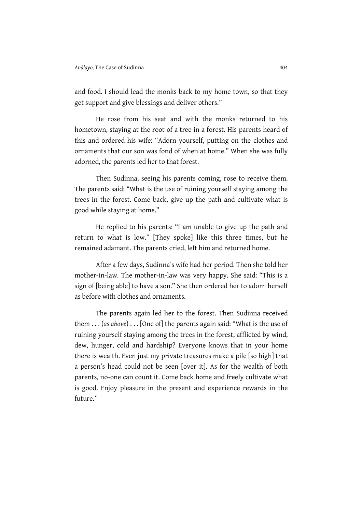and food. I should lead the monks back to my home town, so that they get support and give blessings and deliver others."

He rose from his seat and with the monks returned to his hometown, staying at the root of a tree in a forest. His parents heard of this and ordered his wife: "Adorn yourself, putting on the clothes and ornaments that our son was fond of when at home." When she was fully adorned, the parents led her to that forest.

Then Sudinna, seeing his parents coming, rose to receive them. The parents said: "What is the use of ruining yourself staying among the trees in the forest. Come back, give up the path and cultivate what is good while staying at home."

He replied to his parents: "I am unable to give up the path and return to what is low." [They spoke] like this three times, but he remained adamant. The parents cried, left him and returned home.

After a few days, Sudinna's wife had her period. Then she told her mother-in-law. The mother-in-law was very happy. She said: "This is a sign of [being able] to have a son." She then ordered her to adorn herself as before with clothes and ornaments.

The parents again led her to the forest. Then Sudinna received them . . . (as above) . . . [One of] the parents again said: "What is the use of ruining yourself staying among the trees in the forest, afflicted by wind, dew, hunger, cold and hardship? Everyone knows that in your home there is wealth. Even just my private treasures make a pile [so high] that a person's head could not be seen [over it]. As for the wealth of both parents, no-one can count it. Come back home and freely cultivate what is good. Enjoy pleasure in the present and experience rewards in the future"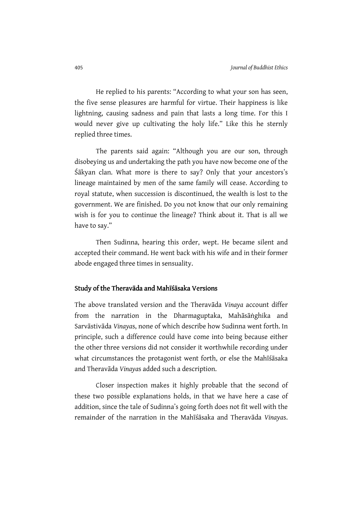He replied to his parents: "According to what your son has seen, the five sense pleasures are harmful for virtue. Their happiness is like lightning, causing sadness and pain that lasts a long time. For this I would never give up cultivating the holy life." Like this he sternly replied three times.

The parents said again: "Although you are our son, through disobeying us and undertaking the path you have now become one of the Śākyan clan. What more is there to say? Only that your ancestors's lineage maintained by men of the same family will cease. According to royal statute, when succession is discontinued, the wealth is lost to the government. We are finished. Do you not know that our only remaining wish is for you to continue the lineage? Think about it. That is all we have to say."

Then Sudinna, hearing this order, wept. He became silent and accepted their command. He went back with his wife and in their former abode engaged three times in sensuality.

#### Study of the Theravāda and Mahīśāsaka Versions

The above translated version and the Theravāda Vinaya account differ from the narration in the Dharmaguptaka, Mahāsāṅghika and Sarvāstivāda Vinayas, none of which describe how Sudinna went forth. In principle, such a difference could have come into being because either the other three versions did not consider it worthwhile recording under what circumstances the protagonist went forth, or else the Mahīśāsaka and Theravāda Vinayas added such a description.

Closer inspection makes it highly probable that the second of these two possible explanations holds, in that we have here a case of addition, since the tale of Sudinna's going forth does not fit well with the remainder of the narration in the Mahīśāsaka and Theravāda Vinayas.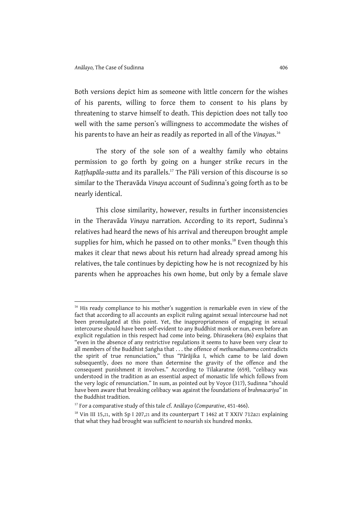l

Both versions depict him as someone with little concern for the wishes of his parents, willing to force them to consent to his plans by threatening to starve himself to death. This depiction does not tally too well with the same person's willingness to accommodate the wishes of his parents to have an heir as readily as reported in all of the Vinayas.<sup>16</sup>

The story of the sole son of a wealthy family who obtains permission to go forth by going on a hunger strike recurs in the Ratthapāla-sutta and its parallels.<sup>17</sup> The Pāli version of this discourse is so similar to the Theravāda Vinaya account of Sudinna's going forth as to be nearly identical.

This close similarity, however, results in further inconsistencies in the Theravāda Vinaya narration. According to its report, Sudinna's relatives had heard the news of his arrival and thereupon brought ample supplies for him, which he passed on to other monks.<sup>18</sup> Even though this makes it clear that news about his return had already spread among his relatives, the tale continues by depicting how he is not recognized by his parents when he approaches his own home, but only by a female slave

<sup>&</sup>lt;sup>16</sup> His ready compliance to his mother's suggestion is remarkable even in view of the fact that according to all accounts an explicit ruling against sexual intercourse had not been promulgated at this point. Yet, the inappropriateness of engaging in sexual intercourse should have been self-evident to any Buddhist monk or nun, even before an explicit regulation in this respect had come into being. Dhirasekera (86) explains that "even in the absence of any restrictive regulations it seems to have been very clear to all members of the Buddhist Saṅgha that . . . the offence of methunadhamma contradicts the spirit of true renunciation," thus "Pārājika I, which came to be laid down subsequently, does no more than determine the gravity of the offence and the consequent punishment it involves." According to Tilakaratne (659), "celibacy was understood in the tradition as an essential aspect of monastic life which follows from the very logic of renunciation." In sum, as pointed out by Voyce (317), Sudinna "should have been aware that breaking celibacy was against the foundations of brahmacariya" in the Buddhist tradition.

 $17$  For a comparative study of this tale cf. Anālayo (Comparative, 451-466).

 $18$  Vin III 15,21, with Sp I 207,21 and its counterpart T 1462 at T XXIV 712a21 explaining that what they had brought was sufficient to nourish six hundred monks.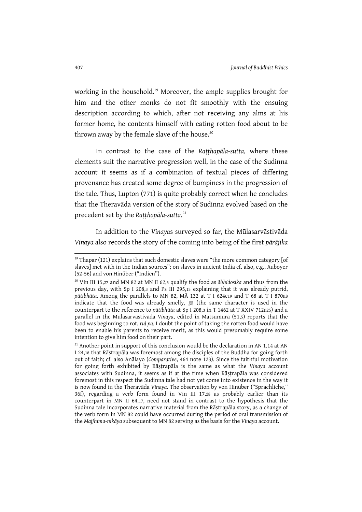working in the household.<sup>19</sup> Moreover, the ample supplies brought for him and the other monks do not fit smoothly with the ensuing description according to which, after not receiving any alms at his former home, he contents himself with eating rotten food about to be thrown away by the female slave of the house. $20$ 

In contrast to the case of the Ratthapāla-sutta, where these elements suit the narrative progression well, in the case of the Sudinna account it seems as if a combination of textual pieces of differing provenance has created some degree of bumpiness in the progression of the tale. Thus, Lupton (771) is quite probably correct when he concludes that the Theravāda version of the story of Sudinna evolved based on the precedent set by the Raṭṭhapāla-sutta.<sup>21</sup>

In addition to the Vinayas surveyed so far, the Mūlasarvāstivāda Vinaya also records the story of the coming into being of the first pārājika

<sup>&</sup>lt;sup>19</sup> Thapar (121) explains that such domestic slaves were "the more common category [of slaves] met with in the Indian sources"; on slaves in ancient India cf. also, e.g., Auboyer (52-56) and von Hinüber ("Indien").

 $20$  Vin III 15,27 and MN 82 at MN II 62,5 qualify the food as  $\bar{a}$ bhidosika and thus from the previous day, with Sp I 208,3 and Ps III 295,13 explaining that it was already putrid, pūtibhūta. Among the parallels to MN 82, MĀ 132 at T I 624c19 and T 68 at T I 870a8 indicate that the food was already smelly, 臭 (the same character is used in the counterpart to the reference to pūtibhūta at Sp I 208,3 in T 1462 at T XXIV 712a25) and a parallel in the Mūlasarvāstivāda Vinaya, edited in Matsumura (51,5) reports that the food was beginning to rot, rul pa. I doubt the point of taking the rotten food would have been to enable his parents to receive merit, as this would presumably require some intention to give him food on their part.

 $21$  Another point in support of this conclusion would be the declaration in AN 1.14 at AN I 24,18 that Rāṣṭrapāla was foremost among the disciples of the Buddha for going forth out of faith; cf. also Anālayo (Comparative, 464 note 123). Since the faithful motivation for going forth exhibited by Rāṣṭrapāla is the same as what the Vinaya account associates with Sudinna, it seems as if at the time when Rāṣṭrapāla was considered foremost in this respect the Sudinna tale had not yet come into existence in the way it is now found in the Theravāda Vinaya. The observation by von Hinüber ("Sprachliche," 36f), regarding a verb form found in Vin III 17,28 as probably earlier than its counterpart in MN II 64,17, need not stand in contrast to the hypothesis that the Sudinna tale incorporates narrative material from the Rāṣṭrapāla story, as a change of the verb form in MN 82 could have occurred during the period of oral transmission of the Majjhima-nikāya subsequent to MN 82 serving as the basis for the Vinaya account.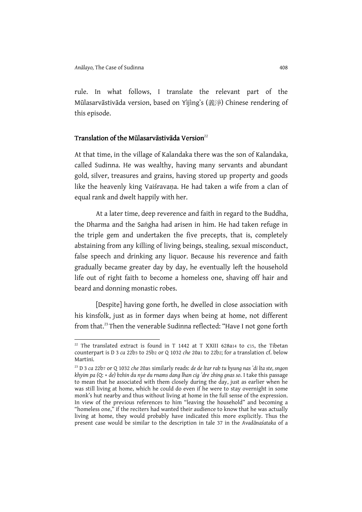$\overline{a}$ 

rule. In what follows, I translate the relevant part of the Mūlasarvāstivāda version, based on Yìjìng's (義淨) Chinese rendering of this episode.

### Translation of the Mūlasarvāstivāda Version $^{22}$

At that time, in the village of Kalandaka there was the son of Kalandaka, called Sudinna. He was wealthy, having many servants and abundant gold, silver, treasures and grains, having stored up property and goods like the heavenly king Vaiśravana. He had taken a wife from a clan of equal rank and dwelt happily with her.

At a later time, deep reverence and faith in regard to the Buddha, the Dharma and the Saṅgha had arisen in him. He had taken refuge in the triple gem and undertaken the five precepts, that is, completely abstaining from any killing of living beings, stealing, sexual misconduct, false speech and drinking any liquor. Because his reverence and faith gradually became greater day by day, he eventually left the household life out of right faith to become a homeless one, shaving off hair and beard and donning monastic robes.

[Despite] having gone forth, he dwelled in close association with his kinsfolk, just as in former days when being at home, not different from that.<sup>23</sup> Then the venerable Sudinna reflected: "Have I not gone forth

<sup>&</sup>lt;sup>22</sup> The translated extract is found in T 1442 at T XXIII 628a14 to c15, the Tibetan counterpart is D 3 ca 22b3 to 25b2 or Q 1032 che 20a1 to 22b2; for a translation cf. below Martini.

<sup>&</sup>lt;sup>23</sup> D 3 ca 22b7 or Q 1032 che 20a5 similarly reads: de de ltar rab tu byung nas 'di lta ste, sngon khyim pa (Q: + de) bzhin du nye du rnams dang lhan cig 'dre zhing gnas so. I take this passage to mean that he associated with them closely during the day, just as earlier when he was still living at home, which he could do even if he were to stay overnight in some monk's hut nearby and thus without living at home in the full sense of the expression. In view of the previous references to him "leaving the household" and becoming a "homeless one," if the reciters had wanted their audience to know that he was actually living at home, they would probably have indicated this more explicitly. Thus the present case would be similar to the description in tale 37 in the Avadānaśataka of a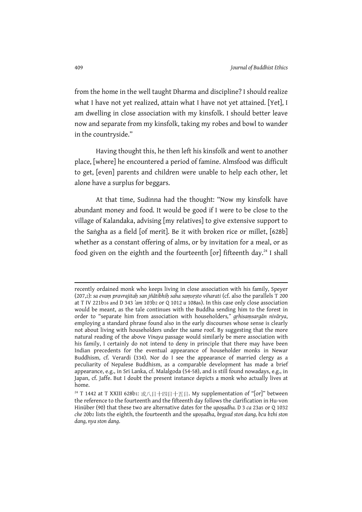from the home in the well taught Dharma and discipline? I should realize what I have not yet realized, attain what I have not yet attained. [Yet], I am dwelling in close association with my kinsfolk. I should better leave now and separate from my kinsfolk, taking my robes and bowl to wander in the countryside."

Having thought this, he then left his kinsfolk and went to another place, [where] he encountered a period of famine. Almsfood was difficult to get, [even] parents and children were unable to help each other, let alone have a surplus for beggars.

At that time, Sudinna had the thought: "Now my kinsfolk have abundant money and food. It would be good if I were to be close to the village of Kalandaka, advising [my relatives] to give extensive support to the Saṅgha as a field [of merit]. Be it with broken rice or millet, [628b] whether as a constant offering of alms, or by invitation for a meal, or as food given on the eighth and the fourteenth  $[or]$  fifteenth day.<sup>24</sup> I shall

recently ordained monk who keeps living in close association with his family, Speyer (207,2): sa evam pravrajitah san jñātibhiḥ saha saṃsṛṣto viharati (cf. also the parallels  $\overline{T}$  200 at T IV 221b16 and D 343 'am 103b2 or Q 1012 u 108a6). In this case only close association would be meant, as the tale continues with the Buddha sending him to the forest in order to "separate him from association with householders," gṛhisaṃsargān nivārya, employing a standard phrase found also in the early discourses whose sense is clearly not about living with householders under the same roof. By suggesting that the more natural reading of the above Vinaya passage would similarly be mere association with his family, I certainly do not intend to deny in principle that there may have been Indian precedents for the eventual appearance of householder monks in Newar Buddhism, cf. Verardi (334). Nor do I see the appearance of married clergy as a peculiarity of Nepalese Buddhism, as a comparable development has made a brief appearance, e.g., in Sri Lanka, cf. Malalgoda (54-58), and is still found nowadays, e.g., in Japan, cf. Jaffe. But I doubt the present instance depicts a monk who actually lives at home.

 $24$  T 1442 at T XXIII 628b1: 或八日十四日十五日. My supplementation of "[or]" between the reference to the fourteenth and the fifteenth day follows the clarification in Hu-von Hinüber (90) that these two are alternative dates for the upoṣadha. D 3 ca 23a5 or Q 1032 che 20b2 lists the eighth, the fourteenth and the uposadha, brgyad ston dang, bcu bzhi ston dang, nya ston dang.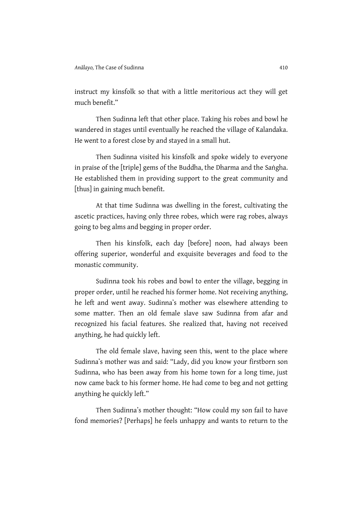instruct my kinsfolk so that with a little meritorious act they will get much benefit."

Then Sudinna left that other place. Taking his robes and bowl he wandered in stages until eventually he reached the village of Kalandaka. He went to a forest close by and stayed in a small hut.

Then Sudinna visited his kinsfolk and spoke widely to everyone in praise of the [triple] gems of the Buddha, the Dharma and the Saṅgha. He established them in providing support to the great community and [thus] in gaining much benefit.

At that time Sudinna was dwelling in the forest, cultivating the ascetic practices, having only three robes, which were rag robes, always going to beg alms and begging in proper order.

Then his kinsfolk, each day [before] noon, had always been offering superior, wonderful and exquisite beverages and food to the monastic community.

Sudinna took his robes and bowl to enter the village, begging in proper order, until he reached his former home. Not receiving anything, he left and went away. Sudinna's mother was elsewhere attending to some matter. Then an old female slave saw Sudinna from afar and recognized his facial features. She realized that, having not received anything, he had quickly left.

The old female slave, having seen this, went to the place where Sudinna's mother was and said: "Lady, did you know your firstborn son Sudinna, who has been away from his home town for a long time, just now came back to his former home. He had come to beg and not getting anything he quickly left."

Then Sudinna's mother thought: "How could my son fail to have fond memories? [Perhaps] he feels unhappy and wants to return to the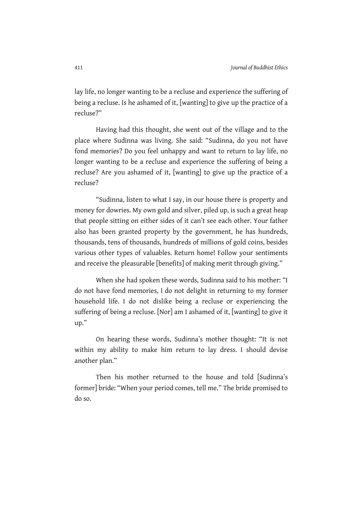lay life, no longer wanting to be a recluse and experience the suffering of being a recluse. Is he ashamed of it, [wanting] to give up the practice of a recluse?"

Having had this thought, she went out of the village and to the place where Sudinna was living. She said: "Sudinna, do you not have fond memories? Do you feel unhappy and want to return to lay life, no longer wanting to be a recluse and experience the suffering of being a recluse? Are you ashamed of it, [wanting] to give up the practice of a recluse?

"Sudinna, listen to what I say, in our house there is property and money for dowries. My own gold and silver, piled up, is such a great heap that people sitting on either sides of it can't see each other. Your father also has been granted property by the government, he has hundreds, thousands, tens of thousands, hundreds of millions of gold coins, besides various other types of valuables. Return home! Follow your sentiments and receive the pleasurable [benefits] of making merit through giving."

When she had spoken these words, Sudinna said to his mother: "I do not have fond memories, I do not delight in returning to my former household life. I do not dislike being a recluse or experiencing the suffering of being a recluse. [Nor] am I ashamed of it, [wanting] to give it up."

On hearing these words, Sudinna's mother thought: "It is not within my ability to make him return to lay dress. I should devise another plan."

Then his mother returned to the house and told [Sudinna's former] bride: "When your period comes, tell me." The bride promised to do so.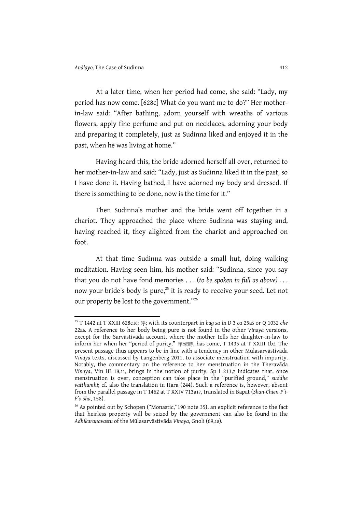l

At a later time, when her period had come, she said: "Lady, my period has now come. [628c] What do you want me to do?" Her motherin-law said: "After bathing, adorn yourself with wreaths of various flowers, apply fine perfume and put on necklaces, adorning your body and preparing it completely, just as Sudinna liked and enjoyed it in the past, when he was living at home."

Having heard this, the bride adorned herself all over, returned to her mother-in-law and said: "Lady, just as Sudinna liked it in the past, so I have done it. Having bathed, I have adorned my body and dressed. If there is something to be done, now is the time for it."

Then Sudinna's mother and the bride went off together in a chariot. They approached the place where Sudinna was staying and, having reached it, they alighted from the chariot and approached on foot.

At that time Sudinna was outside a small hut, doing walking meditation. Having seen him, his mother said: "Sudinna, since you say that you do not have fond memories . . . (to be spoken in full as above) . . . now your bride's body is pure,<sup>25</sup> it is ready to receive your seed. Let not our property be lost to the government."<sup>26</sup>

 $25$  T 1442 at T XXIII 628c10: 淨; with its counterpart in bag sa in D 3 ca 25a5 or Q 1032 che 22a6. A reference to her body being pure is not found in the other Vinaya versions, except for the Sarvāstivāda account, where the mother tells her daughter-in-law to inform her when her "period of purity," 淨潔時, has come, T 1435 at T XXIII 1b2. The present passage thus appears to be in line with a tendency in other Mūlasarvāstivāda Vinaya texts, discussed by Langenberg 2011, to associate menstruation with impurity. Notably, the commentary on the reference to her menstruation in the Theravāda Vinaya, Vin III 18,11, brings in the notion of purity. Sp I 213,7 indicates that, once menstruation is over, conception can take place in the "purified ground," suddhe vatthumhi; cf. also the translation in Hara (244). Such a reference is, however, absent from the parallel passage in T 1462 at T XXIV 713a17, translated in Bapat (Shan-Chien-P'i-P'o Sha, 158).

<sup>&</sup>lt;sup>26</sup> As pointed out by Schopen ("Monastic,"190 note 35), an explicit reference to the fact that heirless property will be seized by the government can also be found in the Adhikaraṇavastu of the Mūlasarvāstivāda Vinaya, Gnoli (69,18).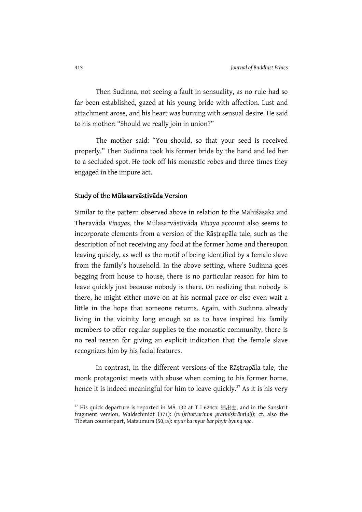Then Sudinna, not seeing a fault in sensuality, as no rule had so far been established, gazed at his young bride with affection. Lust and attachment arose, and his heart was burning with sensual desire. He said to his mother: "Should we really join in union?"

The mother said: "You should, so that your seed is received properly." Then Sudinna took his former bride by the hand and led her to a secluded spot. He took off his monastic robes and three times they engaged in the impure act.

#### Study of the Mūlasarvāstivāda Version

Similar to the pattern observed above in relation to the Mahīśāsaka and Theravāda Vinayas, the Mūlasarvāstivāda Vinaya account also seems to incorporate elements from a version of the Rāṣṭrapāla tale, such as the description of not receiving any food at the former home and thereupon leaving quickly, as well as the motif of being identified by a female slave from the family's household. In the above setting, where Sudinna goes begging from house to house, there is no particular reason for him to leave quickly just because nobody is there. On realizing that nobody is there, he might either move on at his normal pace or else even wait a little in the hope that someone returns. Again, with Sudinna already living in the vicinity long enough so as to have inspired his family members to offer regular supplies to the monastic community, there is no real reason for giving an explicit indication that the female slave recognizes him by his facial features.

In contrast, in the different versions of the Rāṣṭrapāla tale, the monk protagonist meets with abuse when coming to his former home, hence it is indeed meaningful for him to leave quickly.<sup>27</sup> As it is his very

<sup>&</sup>lt;sup>27</sup> His quick departure is reported in MA 132 at T I 624c3: 速出去, and in the Sanskrit fragment version, Waldschmidt (371): (tva)ritatvaritaṃ pratiniṣkrānt(aḥ); cf. also the Tibetan counterpart, Matsumura (50,25): myur ba myur bar phyir byung ngo.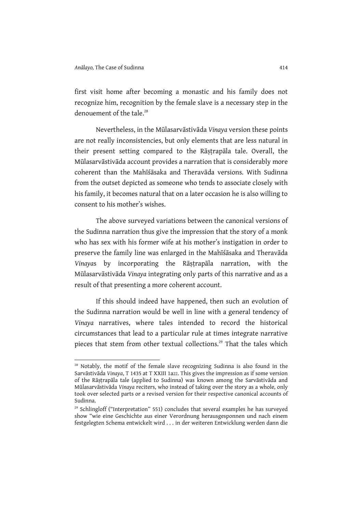l

first visit home after becoming a monastic and his family does not recognize him, recognition by the female slave is a necessary step in the denouement of the tale.<sup>28</sup>

Nevertheless, in the Mūlasarvāstivāda Vinaya version these points are not really inconsistencies, but only elements that are less natural in their present setting compared to the Rāṣṭrapāla tale. Overall, the Mūlasarvāstivāda account provides a narration that is considerably more coherent than the Mahīśāsaka and Theravāda versions. With Sudinna from the outset depicted as someone who tends to associate closely with his family, it becomes natural that on a later occasion he is also willing to consent to his mother's wishes.

The above surveyed variations between the canonical versions of the Sudinna narration thus give the impression that the story of a monk who has sex with his former wife at his mother's instigation in order to preserve the family line was enlarged in the Mahīśāsaka and Theravāda Vinayas by incorporating the Rāṣṭrapāla narration, with the Mūlasarvāstivāda Vinaya integrating only parts of this narrative and as a result of that presenting a more coherent account.

If this should indeed have happened, then such an evolution of the Sudinna narration would be well in line with a general tendency of Vinaya narratives, where tales intended to record the historical circumstances that lead to a particular rule at times integrate narrative pieces that stem from other textual collections.<sup>29</sup> That the tales which

<sup>&</sup>lt;sup>28</sup> Notably, the motif of the female slave recognizing Sudinna is also found in the Sarvāstivāda Vinaya, T 1435 at T XXIII 1a22. This gives the impression as if some version of the Rāṣṭrapāla tale (applied to Sudinna) was known among the Sarvāstivāda and Mūlasarvāstivāda Vinaya reciters, who instead of taking over the story as a whole, only took over selected parts or a revised version for their respective canonical accounts of Sudinna.

<sup>&</sup>lt;sup>29</sup> Schlingloff ("Interpretation" 551) concludes that several examples he has surveyed show "wie eine Geschichte aus einer Verordnung herausgesponnen und nach einem festgelegten Schema entwickelt wird . . . in der weiteren Entwicklung werden dann die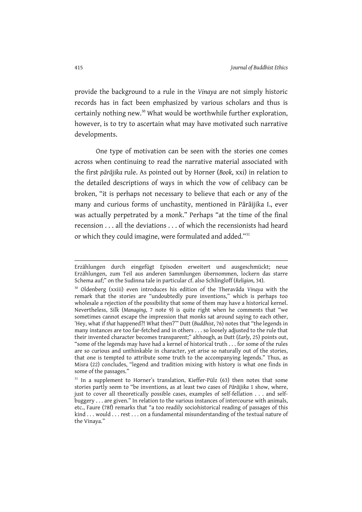provide the background to a rule in the Vinaya are not simply historic records has in fact been emphasized by various scholars and thus is certainly nothing new.<sup>30</sup> What would be worthwhile further exploration, however, is to try to ascertain what may have motivated such narrative developments.

One type of motivation can be seen with the stories one comes across when continuing to read the narrative material associated with the first pārājika rule. As pointed out by Horner (Book, xxi) in relation to the detailed descriptions of ways in which the vow of celibacy can be broken, "it is perhaps not necessary to believe that each or any of the many and curious forms of unchastity, mentioned in Pārāijika I., ever was actually perpetrated by a monk." Perhaps "at the time of the final recension . . . all the deviations . . . of which the recensionists had heard or which they could imagine, were formulated and added."<sup>31</sup>

Erzählungen durch eingefügt Episoden erweitert und ausgeschmückt; neue Erzählungen, zum Teil aus anderen Sammlungen übernommen, lockern das starre Schema auf;" on the Sudinna tale in particular cf. also Schlingloff (Religion, 34).

<sup>&</sup>lt;sup>30</sup> Oldenberg (xxiii) even introduces his edition of the Theravada Vinaya with the remark that the stories are "undoubtedly pure inventions," which is perhaps too wholesale a rejection of the possibility that some of them may have a historical kernel. Nevertheless, Silk (Managing, 7 note 9) is quite right when he comments that "we sometimes cannot escape the impression that monks sat around saying to each other, ʻHey, what if that happened?! What then?'" Dutt (Buddhist, 76) notes that "the legends in many instances are too far-fetched and in others . . . so loosely adjusted to the rule that their invented character becomes transparent;" although, as Dutt (Early, 25) points out, "some of the legends may have had a kernel of historical truth . . . for some of the rules are so curious and unthinkable in character, yet arise so naturally out of the stories, that one is tempted to attribute some truth to the accompanying legends." Thus, as Misra (22) concludes, "legend and tradition mixing with history is what one finds in some of the passages.'

 $31$  In a supplement to Horner's translation, Kieffer-Pülz (63) then notes that some stories partly seem to "be inventions, as at least two cases of Pārāijika 1 show, where, just to cover all theoretically possible cases, examples of self-fellation . . . and selfbuggery . . . are given." In relation to the various instances of intercourse with animals, etc., Faure (78f) remarks that "a too readily sociohistorical reading of passages of this kind . . . would . . . rest . . . on a fundamental misunderstanding of the textual nature of the Vinaya."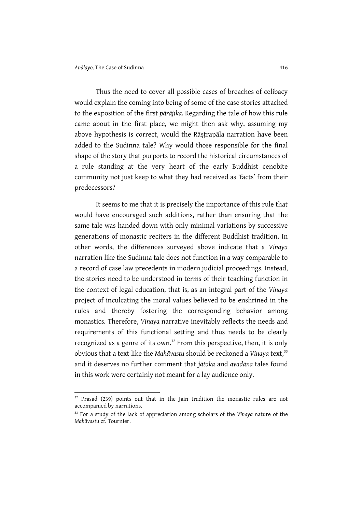l

Thus the need to cover all possible cases of breaches of celibacy would explain the coming into being of some of the case stories attached to the exposition of the first pārājika. Regarding the tale of how this rule came about in the first place, we might then ask why, assuming my above hypothesis is correct, would the Rāstrapāla narration have been added to the Sudinna tale? Why would those responsible for the final shape of the story that purports to record the historical circumstances of a rule standing at the very heart of the early Buddhist cenobite community not just keep to what they had received as ʻfacts' from their predecessors?

It seems to me that it is precisely the importance of this rule that would have encouraged such additions, rather than ensuring that the same tale was handed down with only minimal variations by successive generations of monastic reciters in the different Buddhist tradition. In other words, the differences surveyed above indicate that a Vinaya narration like the Sudinna tale does not function in a way comparable to a record of case law precedents in modern judicial proceedings. Instead, the stories need to be understood in terms of their teaching function in the context of legal education, that is, as an integral part of the Vinaya project of inculcating the moral values believed to be enshrined in the rules and thereby fostering the corresponding behavior among monastics. Therefore, Vinaya narrative inevitably reflects the needs and requirements of this functional setting and thus needs to be clearly recognized as a genre of its own.<sup>32</sup> From this perspective, then, it is only obvious that a text like the Mahāvastu should be reckoned a Vinaya text,<sup>33</sup> and it deserves no further comment that jātaka and avadāna tales found in this work were certainly not meant for a lay audience only.

<sup>&</sup>lt;sup>32</sup> Prasad (239) points out that in the Jain tradition the monastic rules are not accompanied by narrations.

<sup>&</sup>lt;sup>33</sup> For a study of the lack of appreciation among scholars of the Vinaya nature of the Mahāvastu cf. Tournier.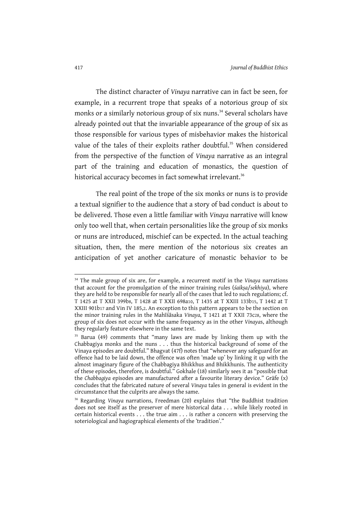The distinct character of Vinaya narrative can in fact be seen, for example, in a recurrent trope that speaks of a notorious group of six monks or a similarly notorious group of six nuns.<sup>34</sup> Several scholars have already pointed out that the invariable appearance of the group of six as those responsible for various types of misbehavior makes the historical value of the tales of their exploits rather doubtful.<sup>35</sup> When considered from the perspective of the function of Vinaya narrative as an integral part of the training and education of monastics, the question of historical accuracy becomes in fact somewhat irrelevant.<sup>36</sup>

The real point of the trope of the six monks or nuns is to provide a textual signifier to the audience that a story of bad conduct is about to be delivered. Those even a little familiar with Vinaya narrative will know only too well that, when certain personalities like the group of six monks or nuns are introduced, mischief can be expected. In the actual teaching situation, then, the mere mention of the notorious six creates an anticipation of yet another caricature of monastic behavior to be

<sup>&</sup>lt;sup>34</sup> The male group of six are, for example, a recurrent motif in the Vinaya narrations that account for the promulgation of the minor training rules (śaikṣa/sekhiya), where they are held to be responsible for nearly all of the cases that led to such regulations; cf. T 1425 at T XXII 399b8, T 1428 at T XXII 698a10, T 1435 at T XXIII 133b15, T 1442 at T XXIII 901b17 and Vin IV 185,2. An exception to this pattern appears to be the section on the minor training rules in the Mahīśāsaka Vinaya, T 1421 at T XXII 73c28, where the group of six does not occur with the same frequency as in the other Vinayas, although they regularly feature elsewhere in the same text.

<sup>&</sup>lt;sup>35</sup> Barua (49) comments that "many laws are made by linking them up with the Chabbagiya monks and the nuns . . . thus the historical background of some of the Vinaya episodes are doubtful." Bhagvat (47f) notes that "whenever any safeguard for an offence had to be laid down, the offence was often ʻmade up' by linking it up with the almost imaginary figure of the Chabbagiya Bhikkhus and Bhikkhunis. The authenticity of these episodes, therefore, is doubtful." Gokhale (18) similarly sees it as "possible that the Chabbagiya episodes are manufactured after a favourite literary device." Gräfe (x) concludes that the fabricated nature of several Vinaya tales in general is evident in the circumstance that the culprits are always the same.

<sup>&</sup>lt;sup>36</sup> Regarding Vinaya narrations, Freedman (20) explains that "the Buddhist tradition does not see itself as the preserver of mere historical data . . . while likely rooted in certain historical events . . . the true aim . . . is rather a concern with preserving the soteriological and hagiographical elements of the ʻtradition'."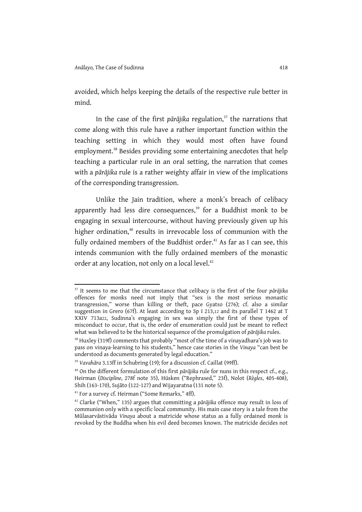$\overline{a}$ 

avoided, which helps keeping the details of the respective rule better in mind.

In the case of the first pārājika regulation, $37$  the narrations that come along with this rule have a rather important function within the teaching setting in which they would most often have found employment.<sup>38</sup> Besides providing some entertaining anecdotes that help teaching a particular rule in an oral setting, the narration that comes with a pārājika rule is a rather weighty affair in view of the implications of the corresponding transgression.

Unlike the Jain tradition, where a monk's breach of celibacy apparently had less dire consequences,<sup>39</sup> for a Buddhist monk to be engaging in sexual intercourse, without having previously given up his higher ordination,<sup>40</sup> results in irrevocable loss of communion with the fully ordained members of the Buddhist order.<sup>41</sup> As far as I can see, this intends communion with the fully ordained members of the monastic order at any location, not only on a local level.<sup>42</sup>

 $37$  It seems to me that the circumstance that celibacy is the first of the four pārājika offences for monks need not imply that "sex is the most serious monastic transgression," worse than killing or theft, pace Gyatso (276); cf. also a similar suggestion in Grero (67f). At least according to Sp I 213,12 and its parallel T 1462 at T XXIV 713a22, Sudinna's engaging in sex was simply the first of these types of misconduct to occur, that is, the order of enumeration could just be meant to reflect what was believed to be the historical sequence of the promulgation of pārājika rules.

<sup>&</sup>lt;sup>38</sup> Huxley (319f) comments that probably "most of the time of a vinayadhara's job was to pass on vinaya-learning to his students," hence case stories in the Vinaya "can best be understood as documents generated by legal education."

<sup>&</sup>lt;sup>39</sup> Vavahāra 3.13ff in Schubring (19); for a discussion cf. Caillat (99ff).

<sup>&</sup>lt;sup>40</sup> On the different formulation of this first pārājika rule for nuns in this respect cf., e.g., Heirman (Discipline, 278f note 35), Hüsken ("Rephrased," 23f), Nolot (Règles, 405-408), Shih (163-170), Sujāto (122-127) and Wijayaratna (131 note 5).

<sup>&</sup>lt;sup>41</sup> For a survey cf. Heirman ("Some Remarks," 4ff).

 $42$  Clarke ("When," 135) argues that committing a pārājika offence may result in loss of communion only with a specific local community. His main case story is a tale from the Mūlasarvāstivāda Vinaya about a matricide whose status as a fully ordained monk is revoked by the Buddha when his evil deed becomes known. The matricide decides not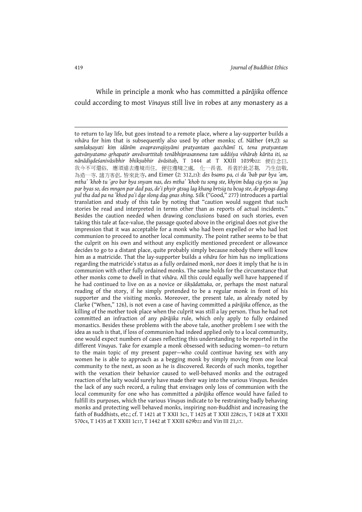While in principle a monk who has committed a pārājika offence could according to most Vinayas still live in robes at any monastery as a

to return to lay life, but goes instead to a remote place, where a lay-supporter builds a vihāra for him that is subsequently also used by other monks; cf. Näther (49,2): sa saṃlakṣayati kiṃ idānīm avapravrajiṣyāmi pratyantaṃ gacchāmī ti, tena pratyantaṃ gatvānyatamo gṛhapatir anvāvarttitaḥ tenābhiprasannena tam uddiśya vihāraḥ kārita iti, sa nānādigdeśanivāsibhir bhikṣubhir āvāsitaḥ, T 1444 at T XXIII 1039b22: 便自念曰, 我今不可還俗, 應須遠去邊境而住, 便往邊境之處, 化一長者, 長者於此苾芻, 乃生信敬, 為造一寺, 諸方客侶, 皆來此寺, and Eimer (2: 312,23): des bsams pa, ci da 'bab par bya 'am, mtha' 'khob tu 'gro bar bya snyam nas, des mtha' 'khob tu song ste, khyim bdag cig rjes su 'jug par byas so, des mngon par dad pas, de'i phyir gtsug lag khang brtsig tu bcug ste, de phyogs dang yul tha dad pa na 'khod pa'i dge slong dag gnas shing. Silk ("Good," 277) introduces a partial translation and study of this tale by noting that "caution would suggest that such stories be read and interpreted in terms other than as reports of actual incidents." Besides the caution needed when drawing conclusions based on such stories, even taking this tale at face-value, the passage quoted above in the original does not give the impression that it was acceptable for a monk who had been expelled or who had lost communion to proceed to another local community. The point rather seems to be that the culprit on his own and without any explicitly mentioned precedent or allowance decides to go to a distant place, quite probably simply because nobody there will know him as a matricide. That the lay-supporter builds a vihāra for him has no implications regarding the matricide's status as a fully ordained monk, nor does it imply that he is in communion with other fully ordained monks. The same holds for the circumstance that other monks come to dwell in that vihāra. All this could equally well have happened if he had continued to live on as a novice or *śiksādattaka*, or, perhaps the most natural reading of the story, if he simply pretended to be a regular monk in front of his supporter and the visiting monks. Moreover, the present tale, as already noted by Clarke ("When," 126), is not even a case of having committed a pārājika offence, as the killing of the mother took place when the culprit was still a lay person. Thus he had not committed an infraction of any pārājika rule, which only apply to fully ordained monastics. Besides these problems with the above tale, another problem I see with the idea as such is that, if loss of communion had indeed applied only to a local community, one would expect numbers of cases reflecting this understanding to be reported in the different Vinayas. Take for example a monk obsessed with seducing women—to return to the main topic of my present paper—who could continue having sex with any women he is able to approach as a begging monk by simply moving from one local community to the next, as soon as he is discovered. Records of such monks, together with the vexation their behavior caused to well-behaved monks and the outraged reaction of the laity would surely have made their way into the various Vinayas. Besides the lack of any such record, a ruling that envisages only loss of communion with the local community for one who has committed a pārājika offence would have failed to fulfill its purposes, which the various Vinayas indicate to be restraining badly behaving monks and protecting well behaved monks, inspiring non-Buddhist and increasing the faith of Buddhists, etc.; cf. T 1421 at T XXII 3c1, T 1425 at T XXII 228c25, T 1428 at T XXII 570c4, T 1435 at T XXIII 1c17, T 1442 at T XXIII 629b22 and Vin III 21,17.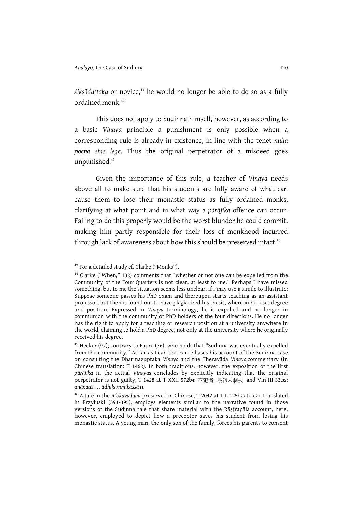$s$ iks $\bar{a}$ dattaka or novice,<sup>43</sup> he would no longer be able to do so as a fully ordained monk.<sup>44</sup>

This does not apply to Sudinna himself, however, as according to a basic Vinaya principle a punishment is only possible when a corresponding rule is already in existence, in line with the tenet nulla poena sine lege. Thus the original perpetrator of a misdeed goes unpunished.<sup>45</sup>

Given the importance of this rule, a teacher of Vinaya needs above all to make sure that his students are fully aware of what can cause them to lose their monastic status as fully ordained monks, clarifying at what point and in what way a pārājika offence can occur. Failing to do this properly would be the worst blunder he could commit, making him partly responsible for their loss of monkhood incurred through lack of awareness about how this should be preserved intact.<sup>46</sup>

<sup>43</sup> For a detailed study cf. Clarke ("Monks").

<sup>44</sup> Clarke ("When," 132) comments that "whether or not one can be expelled from the Community of the Four Quarters is not clear, at least to me." Perhaps I have missed something, but to me the situation seems less unclear. If I may use a simile to illustrate: Suppose someone passes his PhD exam and thereupon starts teaching as an assistant professor, but then is found out to have plagiarized his thesis, whereon he loses degree and position. Expressed in Vinaya terminology, he is expelled and no longer in communion with the community of PhD holders of the four directions. He no longer has the right to apply for a teaching or research position at a university anywhere in the world, claiming to hold a PhD degree, not only at the university where he originally received his degree.

 $45$  Hecker (97); contrary to Faure (76), who holds that "Sudinna was eventually expelled from the community." As far as I can see, Faure bases his account of the Sudinna case on consulting the Dharmaguptaka Vinaya and the Theravāda Vinaya commentary (in Chinese translation: T 1462). In both traditions, however, the exposition of the first pārājika in the actual Vinayas concludes by explicitly indicating that the original perpetrator is not guilty, T 1428 at T XXII 572b4: 不犯者, 最初未制戒 and Vin III 33,32: anāpatti . . . ādhikammikassā ti.

<sup>46</sup> A tale in the Aśokavadāna preserved in Chinese, T 2042 at T L 125b29 to c21, translated in Przyluski (393-395), employs elements similar to the narrative found in those versions of the Sudinna tale that share material with the Rāṣṭrapāla account, here, however, employed to depict how a preceptor saves his student from losing his monastic status. A young man, the only son of the family, forces his parents to consent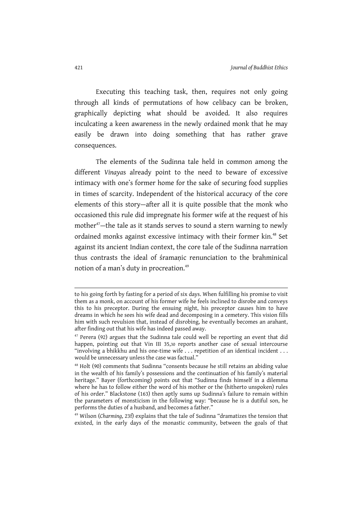Executing this teaching task, then, requires not only going through all kinds of permutations of how celibacy can be broken, graphically depicting what should be avoided. It also requires inculcating a keen awareness in the newly ordained monk that he may easily be drawn into doing something that has rather grave consequences.

The elements of the Sudinna tale held in common among the different Vinayas already point to the need to beware of excessive intimacy with one's former home for the sake of securing food supplies in times of scarcity. Independent of the historical accuracy of the core elements of this story—after all it is quite possible that the monk who occasioned this rule did impregnate his former wife at the request of his mother<sup>47</sup>—the tale as it stands serves to sound a stern warning to newly ordained monks against excessive intimacy with their former kin.<sup>48</sup> Set against its ancient Indian context, the core tale of the Sudinna narration thus contrasts the ideal of śramanic renunciation to the brahminical notion of a man's duty in procreation.<sup>49</sup>

to his going forth by fasting for a period of six days. When fulfilling his promise to visit them as a monk, on account of his former wife he feels inclined to disrobe and conveys this to his preceptor. During the ensuing night, his preceptor causes him to have dreams in which he sees his wife dead and decomposing in a cemetery. This vision fills him with such revulsion that, instead of disrobing, he eventually becomes an arahant, after finding out that his wife has indeed passed away.

 $47$  Perera (92) argues that the Sudinna tale could well be reporting an event that did happen, pointing out that Vin III 35,30 reports another case of sexual intercourse "involving a bhikkhu and his one-time wife . . . repetition of an identical incident . . . would be unnecessary unless the case was factual."

<sup>&</sup>lt;sup>48</sup> Holt (90) comments that Sudinna "consents because he still retains an abiding value in the wealth of his family's possessions and the continuation of his family's material heritage." Bayer (forthcoming) points out that "Sudinna finds himself in a dilemma where he has to follow either the word of his mother or the (hitherto unspoken) rules of his order." Blackstone (163) then aptly sums up Sudinna's failure to remain within the parameters of monsticism in the following way: "because he is a dutiful son, he performs the duties of a husband, and becomes a father."

<sup>49</sup> Wilson (Charming, 23f) explains that the tale of Sudinna "dramatizes the tension that existed, in the early days of the monastic community, between the goals of that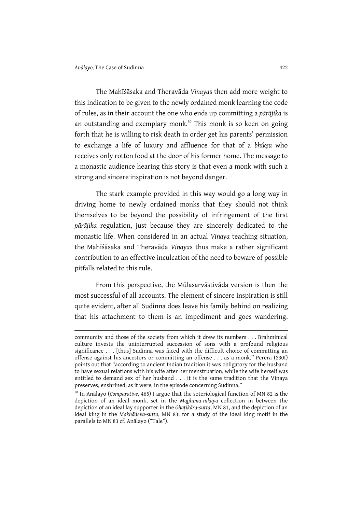l

The Mahīśāsaka and Theravāda Vinayas then add more weight to this indication to be given to the newly ordained monk learning the code of rules, as in their account the one who ends up committing a pārājika is an outstanding and exemplary monk.<sup>50</sup> This monk is so keen on going forth that he is willing to risk death in order get his parents' permission to exchange a life of luxury and affluence for that of a bhiksu who receives only rotten food at the door of his former home. The message to a monastic audience hearing this story is that even a monk with such a strong and sincere inspiration is not beyond danger.

The stark example provided in this way would go a long way in driving home to newly ordained monks that they should not think themselves to be beyond the possibility of infringement of the first pārājika regulation, just because they are sincerely dedicated to the monastic life. When considered in an actual Vinaya teaching situation, the Mahīśāsaka and Theravāda Vinayas thus make a rather significant contribution to an effective inculcation of the need to beware of possible pitfalls related to this rule.

From this perspective, the Mūlasarvāstivāda version is then the most successful of all accounts. The element of sincere inspiration is still quite evident, after all Sudinna does leave his family behind on realizing that his attachment to them is an impediment and goes wandering.

community and those of the society from which it drew its numbers . . . Brahminical culture invests the uninterrupted succession of sons with a profound religious significance . . . [thus] Sudinna was faced with the difficult choice of committing an offense against his ancestors or committing an offense . . . as a monk." Perera (230f) points out that "according to ancient Indian tradition it was obligatory for the husband to have sexual relations with his wife after her menstruation, while the wife herself was entitled to demand sex of her husband . . . it is the same tradition that the Vinaya preserves, enshrined, as it were, in the episode concerning Sudinna."

<sup>&</sup>lt;sup>50</sup> In Anālayo (Comparative, 465) I argue that the soteriological function of MN 82 is the depiction of an ideal monk, set in the Majjhima-nikāya collection in between the depiction of an ideal lay supporter in the Ghaṭikāra-sutta, MN 81, and the depiction of an ideal king in the Makhādeva-sutta, MN 83; for a study of the ideal king motif in the parallels to MN 83 cf. Anālayo ("Tale").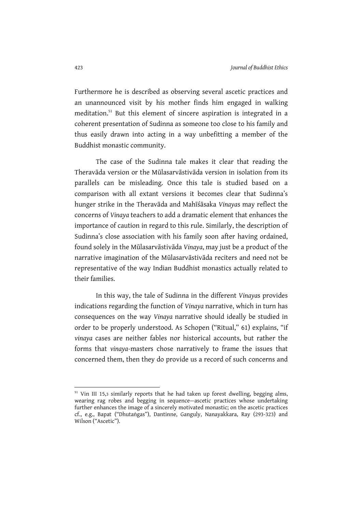Furthermore he is described as observing several ascetic practices and an unannounced visit by his mother finds him engaged in walking meditation.<sup>51</sup> But this element of sincere aspiration is integrated in a coherent presentation of Sudinna as someone too close to his family and thus easily drawn into acting in a way unbefitting a member of the Buddhist monastic community.

The case of the Sudinna tale makes it clear that reading the Theravāda version or the Mūlasarvāstivāda version in isolation from its parallels can be misleading. Once this tale is studied based on a comparison with all extant versions it becomes clear that Sudinna's hunger strike in the Theravāda and Mahīśāsaka Vinayas may reflect the concerns of Vinaya teachers to add a dramatic element that enhances the importance of caution in regard to this rule. Similarly, the description of Sudinna's close association with his family soon after having ordained, found solely in the Mūlasarvāstivāda Vinaya, may just be a product of the narrative imagination of the Mūlasarvāstivāda reciters and need not be representative of the way Indian Buddhist monastics actually related to their families.

In this way, the tale of Sudinna in the different Vinayas provides indications regarding the function of Vinaya narrative, which in turn has consequences on the way Vinaya narrative should ideally be studied in order to be properly understood. As Schopen ("Ritual," 61) explains, "if vinaya cases are neither fables nor historical accounts, but rather the forms that vinaya-masters chose narratively to frame the issues that concerned them, then they do provide us a record of such concerns and

<sup>&</sup>lt;sup>51</sup> Vin III 15,3 similarly reports that he had taken up forest dwelling, begging alms, wearing rag robes and begging in sequence—ascetic practices whose undertaking further enhances the image of a sincerely motivated monastic; on the ascetic practices cf., e.g., Bapat ("Dhutaṅgas"), Dantinne, Ganguly, Nanayakkara, Ray (293-323) and Wilson ("Ascetic").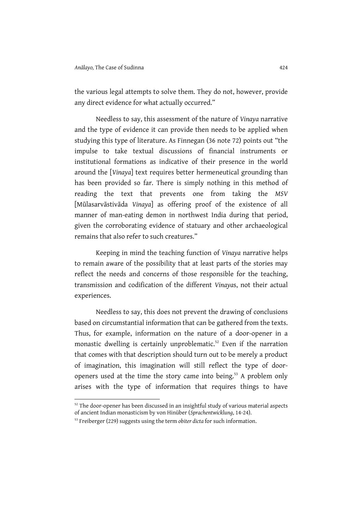the various legal attempts to solve them. They do not, however, provide any direct evidence for what actually occurred."

Needless to say, this assessment of the nature of Vinaya narrative and the type of evidence it can provide then needs to be applied when studying this type of literature. As Finnegan (36 note 72) points out "the impulse to take textual discussions of financial instruments or institutional formations as indicative of their presence in the world around the [Vinaya] text requires better hermeneutical grounding than has been provided so far. There is simply nothing in this method of reading the text that prevents one from taking the MSV [Mūlasarvāstivāda Vinaya] as offering proof of the existence of all manner of man-eating demon in northwest India during that period, given the corroborating evidence of statuary and other archaeological remains that also refer to such creatures."

Keeping in mind the teaching function of Vinaya narrative helps to remain aware of the possibility that at least parts of the stories may reflect the needs and concerns of those responsible for the teaching, transmission and codification of the different Vinayas, not their actual experiences.

Needless to say, this does not prevent the drawing of conclusions based on circumstantial information that can be gathered from the texts. Thus, for example, information on the nature of a door-opener in a monastic dwelling is certainly unproblematic.<sup>52</sup> Even if the narration that comes with that description should turn out to be merely a product of imagination, this imagination will still reflect the type of dooropeners used at the time the story came into being.<sup>53</sup> A problem only arises with the type of information that requires things to have

 $52$  The door-opener has been discussed in an insightful study of various material aspects of ancient Indian monasticism by von Hinüber (Sprachentwicklung, 14-24).

<sup>&</sup>lt;sup>53</sup> Freiberger (229) suggests using the term obiter dicta for such information.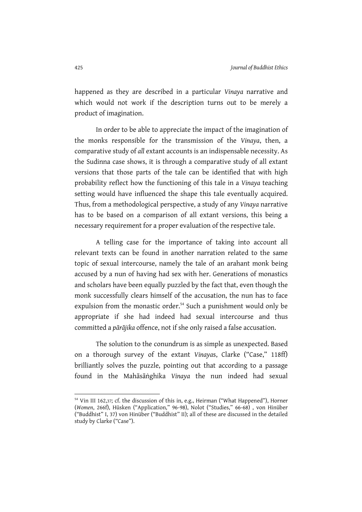happened as they are described in a particular Vinaya narrative and which would not work if the description turns out to be merely a product of imagination.

In order to be able to appreciate the impact of the imagination of the monks responsible for the transmission of the Vinaya, then, a comparative study of all extant accounts is an indispensable necessity. As the Sudinna case shows, it is through a comparative study of all extant versions that those parts of the tale can be identified that with high probability reflect how the functioning of this tale in a Vinaya teaching setting would have influenced the shape this tale eventually acquired. Thus, from a methodological perspective, a study of any Vinaya narrative has to be based on a comparison of all extant versions, this being a necessary requirement for a proper evaluation of the respective tale.

A telling case for the importance of taking into account all relevant texts can be found in another narration related to the same topic of sexual intercourse, namely the tale of an arahant monk being accused by a nun of having had sex with her. Generations of monastics and scholars have been equally puzzled by the fact that, even though the monk successfully clears himself of the accusation, the nun has to face expulsion from the monastic order.<sup>54</sup> Such a punishment would only be appropriate if she had indeed had sexual intercourse and thus committed a pārājika offence, not if she only raised a false accusation.

The solution to the conundrum is as simple as unexpected. Based on a thorough survey of the extant Vinayas, Clarke ("Case," 118ff) brilliantly solves the puzzle, pointing out that according to a passage found in the Mahāsāṅghika Vinaya the nun indeed had sexual

<sup>&</sup>lt;sup>54</sup> Vin III 162,37; cf. the discussion of this in, e.g., Heirman ("What Happened"), Horner (Women, 266f), Hüsken ("Application," 96-98), Nolot ("Studies," 66-68) , von Hinüber ("Buddhist" I, 37) von Hinüber ("Buddhist" II); all of these are discussed in the detailed study by Clarke ("Case").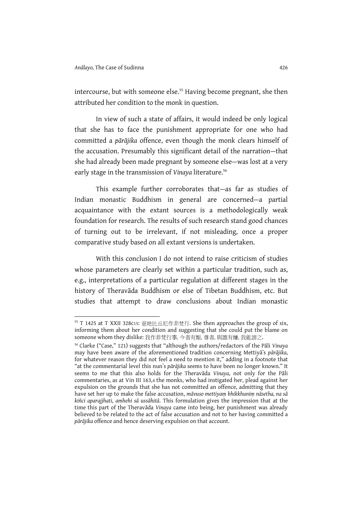l

intercourse, but with someone else.<sup>55</sup> Having become pregnant, she then attributed her condition to the monk in question.

In view of such a state of affairs, it would indeed be only logical that she has to face the punishment appropriate for one who had committed a pārājika offence, even though the monk clears himself of the accusation. Presumably this significant detail of the narration—that she had already been made pregnant by someone else—was lost at a very early stage in the transmission of Vinaya literature.<sup>56</sup>

This example further corroborates that—as far as studies of Indian monastic Buddhism in general are concerned—a partial acquaintance with the extant sources is a methodologically weak foundation for research. The results of such research stand good chances of turning out to be irrelevant, if not misleading, once a proper comparative study based on all extant versions is undertaken.

With this conclusion I do not intend to raise criticism of studies whose parameters are clearly set within a particular tradition, such as, e.g., interpretations of a particular regulation at different stages in the history of Theravāda Buddhism or else of Tibetan Buddhism, etc. But studies that attempt to draw conclusions about Indian monastic

<sup>55</sup> T 1425 at T XXII 328c15: 慈地比丘尼作非梵行. She then approaches the group of six, informing them about her condition and suggesting that she could put the blame on someone whom they dislike: 我作非梵行事, 今者有娠, 尊者, 與誰有嫌, 我能謗之.

<sup>&</sup>lt;sup>56</sup> Clarke ("Case," 121) suggests that "although the authors/redactors of the Pāli Vinaya may have been aware of the aforementioned tradition concerning Mettiyā's pārājika, for whatever reason they did not feel a need to mention it," adding in a footnote that "at the commentarial level this nun's pārājika seems to have been no longer known." It seems to me that this also holds for the Theravāda Vinaya, not only for the Pāli commentaries, as at Vin III 163,4 the monks, who had instigated her, plead against her expulsion on the grounds that she has not committed an offence, admitting that they have set her up to make the false accusation, māvuso mettiyam bhikkhunim nāsetha, na sā kiñci aparajjhati, amhehi sā ussāhitā. This formulation gives the impression that at the time this part of the Theravāda Vinaya came into being, her punishment was already believed to be related to the act of false accusation and not to her having committed a pārājika offence and hence deserving expulsion on that account.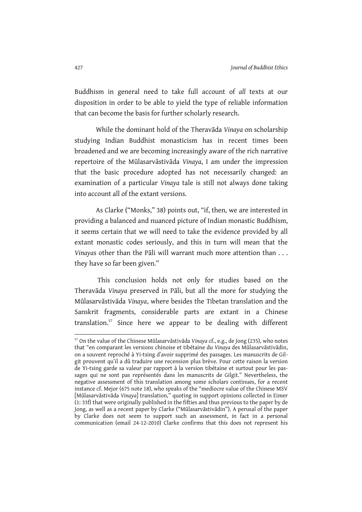Buddhism in general need to take full account of all texts at our disposition in order to be able to yield the type of reliable information that can become the basis for further scholarly research.

While the dominant hold of the Theravāda Vinaya on scholarship studying Indian Buddhist monasticism has in recent times been broadened and we are becoming increasingly aware of the rich narrative repertoire of the Mūlasarvāstivāda Vinaya, I am under the impression that the basic procedure adopted has not necessarily changed: an examination of a particular Vinaya tale is still not always done taking into account all of the extant versions.

As Clarke ("Monks," 38) points out, "if, then, we are interested in providing a balanced and nuanced picture of Indian monastic Buddhism, it seems certain that we will need to take the evidence provided by all extant monastic codes seriously, and this in turn will mean that the Vinayas other than the Pāli will warrant much more attention than . . . they have so far been given."

 This conclusion holds not only for studies based on the Theravāda Vinaya preserved in Pāli, but all the more for studying the Mūlasarvāstivāda Vinaya, where besides the Tibetan translation and the Sanskrit fragments, considerable parts are extant in a Chinese translation.<sup>57</sup> Since here we appear to be dealing with different

 $\overline{a}$ 

<sup>57</sup> On the value of the Chinese Mūlasarvāstivāda Vinaya cf., e.g., de Jong (235), who notes that "en comparant les versions chinoise et tibétaine du Vinaya des Mūlasarvāstivādin, on a souvent reproché à Yi-tsing d'avoir supprimé des passages. Les manuscrits de Gilgit prouvent qu'il a dû traduire une recension plus brève. Pour cette raison la version de Yi-tsing garde sa valeur par rapport à la version tibétaine et surtout pour les passages qui ne sont pas représentés dans les manuscrits de Gilgit." Nevertheless, the negative assessment of this translation among some scholars continues, for a recent instance cf. Mejor (675 note 18), who speaks of the "mediocre value of the Chinese MSV [Mūlasarvāstivāda Vinaya] translation," quoting in support opinions collected in Eimer (1: 33f) that were originally published in the fifties and thus previous to the paper by de Jong, as well as a recent paper by Clarke ("Mūlasarvāstivādin"). A perusal of the paper by Clarke does not seem to support such an assessment, in fact in a personal communication (email 24-12-2010) Clarke confirms that this does not represent his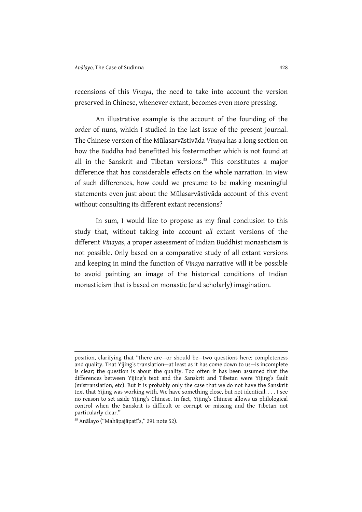recensions of this Vinaya, the need to take into account the version preserved in Chinese, whenever extant, becomes even more pressing.

An illustrative example is the account of the founding of the order of nuns, which I studied in the last issue of the present journal. The Chinese version of the Mūlasarvāstivāda Vinaya has a long section on how the Buddha had benefitted his fostermother which is not found at all in the Sanskrit and Tibetan versions.<sup>58</sup> This constitutes a major difference that has considerable effects on the whole narration. In view of such differences, how could we presume to be making meaningful statements even just about the Mūlasarvāstivāda account of this event without consulting its different extant recensions?

In sum, I would like to propose as my final conclusion to this study that, without taking into account all extant versions of the different Vinayas, a proper assessment of Indian Buddhist monasticism is not possible. Only based on a comparative study of all extant versions and keeping in mind the function of Vinaya narrative will it be possible to avoid painting an image of the historical conditions of Indian monasticism that is based on monastic (and scholarly) imagination.

position, clarifying that "there are—or should be—two questions here: completeness and quality. That Yijing's translation—at least as it has come down to us—is incomplete is clear; the question is about the quality. Too often it has been assumed that the differences between Yijing's text and the Sanskrit and Tibetan were Yijing's fault (mistranslation, etc). But it is probably only the case that we do not have the Sanskrit text that Yijing was working with. We have something close, but not identical. . . . I see no reason to set aside Yijing's Chinese. In fact, Yijing's Chinese allows us philological control when the Sanskrit is difficult or corrupt or missing and the Tibetan not particularly clear."

<sup>58</sup> Anālayo ("Mahāpajāpatī's," 291 note 52).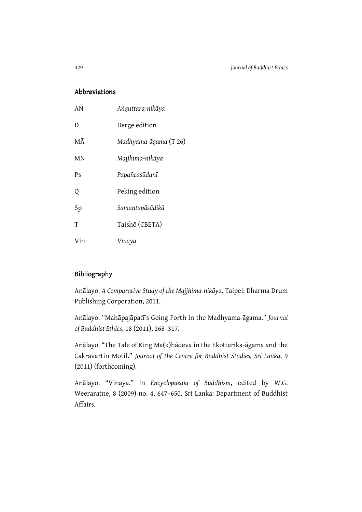## Abbreviations Abbreviations

| AN  | Anguttara-nikāya      |
|-----|-----------------------|
| D   | Derge edition         |
| МĀ  | Madhyama-āgama (T 26) |
| MN  | Majjhima-nikāya       |
| Ps  | Papañcasūdanī         |
| Q   | Peking edition        |
| Sp  | Samantapāsādikā       |
| T   | Taishō (CBETA)        |
| Vin | Vinaya                |

## Bibliography

Anālayo. A Comparative Study of the Majjhima-nikāya. Taipei: Dharma Drum Publishing Corporation, 2011.

Anālayo. "Mahāpajāpatī's Going Forth in the Madhyama-āgama." Journal of Buddhist Ethics, 18 (2011), 268–317.

Anālayo. "The Tale of King Ma(k)hādeva in the Ekottarika-āgama and the Cakravartin Motif." Journal of the Centre for Buddhist Studies, Sri Lanka, 9 (2011) (forthcoming).

Anālayo. "Vinaya." In Encyclopaedia of Buddhism, edited by W.G. Weeraratne, 8 (2009) no. 4, 647–650. Sri Lanka: Department of Buddhist Affairs.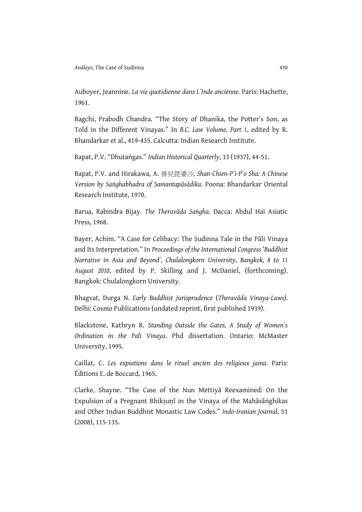Auboyer, Jeannine. La vie quotidienne dans L'Inde ancienne. Paris: Hachette, 1961.

Bagchi, Prabodh Chandra. "The Story of Dhanika, the Potter's Son, as Told in the Different Vinayas." In B.C. Law Volume, Part 1, edited by R. Bhandarkar et al., 419-435. Calcutta: Indian Research Institute.

Bapat, P.V. "Dhutaṅgas." Indian Historical Quarterly, 13 (1937), 44-51.

Bapat, P.V. and Hirakawa, A. 善見毘婆沙, Shan-Chien-P'i-P'o Sha: A Chinese Version by Saṅghabhadra of Samantapāsādika. Poona: Bhandarkar Oriental Research Institute, 1970.

Barua, Rabindra Bijay. The Theravāda Saṅgha. Dacca: Abdul Hai Asiatic Press, 1968.

Bayer, Achim. "A Case for Celibacy: The Sudinna Tale in the Pāli Vinaya and Its Interpretation." In Proceedings of the International Congress ʻBuddhist Narrative in Asia and Beyond', Chulalongkorn University, Bangkok, 8 to 11 August 2010, edited by P. Skilling and J. McDaniel, (forthcoming). Bangkok: Chulalongkorn University.

Bhagvat, Durga N. Early Buddhist Jurisprudence (Theravāda Vinaya-Laws). Delhi: Cosmo Publications (undated reprint, first published 1939).

Blackstone, Kathryn R. Standing Outside the Gates, A Study of Women's Ordination in the Pali Vinaya. Phd dissertation. Ontario: McMaster University, 1995.

Caillat, C. Les expiations dans le rituel ancien des religieux jaina. Paris: Éditions E. de Boccard, 1965.

Clarke, Shayne. "The Case of the Nun Mettiyā Reexamined: On the Expulsion of a Pregnant Bhiksunī in the Vinaya of the Mahāsāṅghikas and Other Indian Buddhist Monastic Law Codes." Indo-Iranian Journal, 51 (2008), 115-135.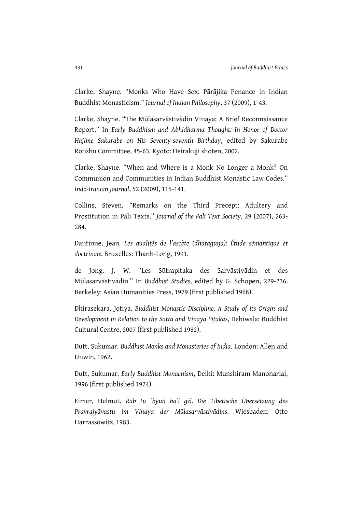Clarke, Shayne. "Monks Who Have Sex: Pārājika Penance in Indian Buddhist Monasticism." Journal of Indian Philosophy, 37 (2009), 1-43.

Clarke, Shayne. "The Mūlasarvāstivādin Vinaya: A Brief Reconnaissance Report." In Early Buddhism and Abhidharma Thought: In Honor of Doctor Hajime Sakurabe on His Seventy-seventh Birthday, edited by Sakurabe Ronshu Committee, 45-63. Kyoto: Heirakuji shoten, 2002.

Clarke, Shayne. "When and Where is a Monk No Longer a Monk? On Communion and Communities in Indian Buddhist Monastic Law Codes." Indo-Iranian Journal, 52 (2009), 115-141.

Collins, Steven. "Remarks on the Third Precept: Adultery and Prostitution in Pāli Texts." Journal of the Pali Text Society, 29 (2007), 263- 284.

Dantinne, Jean. Les qualités de l'ascète (dhutaguna): Étude sémantique et doctrinale. Bruxelles: Thanh-Long, 1991.

de Jong, J. W. "Les Sūtrapiṭaka des Sarvāstivādin et des Mūḷasarvāstivādin." In Buddhist Studies, edited by G. Schopen, 229-236. Berkeley: Asian Humanities Press, 1979 (first published 1968).

Dhirasekara, Jotiya. Buddhist Monastic Discipline, A Study of its Origin and Development in Relation to the Sutta and Vinaya Piṭakas, Dehiwala: Buddhist Cultural Centre, 2007 (first published 1982).

Dutt, Sukumar. Buddhist Monks and Monasteries of India. London: Allen and Unwin, 1962.

Dutt, Sukumar. Early Buddhist Monachism, Delhi: Munshiram Manoharlal, 1996 (first published 1924).

Eimer, Helmut. Rab tu 'byuṅ ba'i gźi. Die Tibetische Übersetzung des Pravrajyāvastu im Vinaya der Mūlasarvāstivādins. Wiesbaden: Otto Harrassowitz, 1983.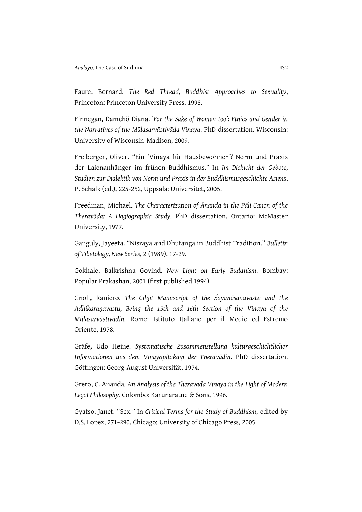Faure, Bernard. The Red Thread, Buddhist Approaches to Sexuality, Princeton: Princeton University Press, 1998.

Finnegan, Damchö Diana. ʻFor the Sake of Women too': Ethics and Gender in the Narratives of the Mūlasarvāstivāda Vinaya. PhD dissertation. Wisconsin: University of Wisconsin-Madison, 2009.

Freiberger, Oliver. "Ein ʻVinaya für Hausbewohner'? Norm und Praxis der Laienanhänger im frühen Buddhismus." In Im Dickicht der Gebote, Studien zur Dialektik von Norm und Praxis in der Buddhismusgeschichte Asiens, P. Schalk (ed.), 225-252, Uppsala: Universitet, 2005.

Freedman, Michael. The Characterization of Ānanda in the Pāli Canon of the Theravāda: A Hagiographic Study, PhD dissertation. Ontario: McMaster University, 1977.

Ganguly, Jayeeta. "Nisraya and Dhutanga in Buddhist Tradition." Bulletin of Tibetology, New Series, 2 (1989), 17-29.

Gokhale, Balkrishna Govind. New Light on Early Buddhism. Bombay: Popular Prakashan, 2001 (first published 1994).

Gnoli, Raniero. The Gilgit Manuscript of the Śayanāsanavastu and the Adhikaraṇavastu, Being the 15th and 16th Section of the Vinaya of the Mūlasarvāstivādin. Rome: Istituto Italiano per il Medio ed Estremo Oriente, 1978.

Gräfe, Udo Heine. Systematische Zusammenstellung kulturgeschichtlicher Informationen aus dem Vinayapitakam der Theravādin. PhD dissertation. Göttingen: Georg-August Universität, 1974.

Grero, C. Ananda. An Analysis of the Theravada Vinaya in the Light of Modern Legal Philosophy. Colombo: Karunaratne & Sons, 1996.

Gyatso, Janet. "Sex." In Critical Terms for the Study of Buddhism, edited by D.S. Lopez, 271-290. Chicago: University of Chicago Press, 2005.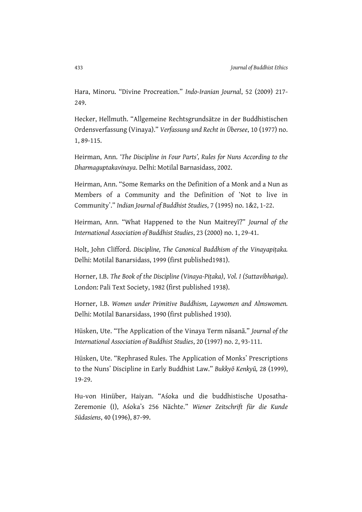Hara, Minoru. "Divine Procreation." Indo-Iranian Journal, 52 (2009) 217- 249.

Hecker, Hellmuth. "Allgemeine Rechtsgrundsätze in der Buddhistischen Ordensverfassung (Vinaya)." Verfassung und Recht in Übersee, 10 (1977) no. 1, 89-115.

Heirman, Ann. 'The Discipline in Four Parts', Rules for Nuns According to the Dharmaguptakavinaya. Delhi: Motilal Barnasidass, 2002.

Heirman, Ann. "Some Remarks on the Definition of a Monk and a Nun as Members of a Community and the Definition of ʻNot to live in Community'." Indian Journal of Buddhist Studies, 7 (1995) no. 1&2, 1-22.

Heirman, Ann. "What Happened to the Nun Maitreyī?" Journal of the International Association of Buddhist Studies, 23 (2000) no. 1, 29-41.

Holt, John Clifford. Discipline, The Canonical Buddhism of the Vinayapitaka. Delhi: Motilal Banarsidass, 1999 (first published1981).

Horner, I.B. The Book of the Discipline (Vinaya-Piṭaka), Vol. I (Suttavibhaṅga). London: Pali Text Society, 1982 (first published 1938).

Horner, I.B. Women under Primitive Buddhism, Laywomen and Almswomen. Delhi: Motilal Banarsidass, 1990 (first published 1930).

Hüsken, Ute. "The Application of the Vinaya Term nāsanā." Journal of the International Association of Buddhist Studies, 20 (1997) no. 2, 93-111.

Hüsken, Ute. "Rephrased Rules. The Application of Monks' Prescriptions to the Nuns' Discipline in Early Buddhist Law." Bukkyō Kenkyū, 28 (1999), 19-29.

Hu-von Hinüber, Haiyan. "Aśoka und die buddhistische Uposatha-Zeremonie (I), Aśoka's 256 Nächte." Wiener Zeitschrift für die Kunde Südasiens, 40 (1996), 87-99.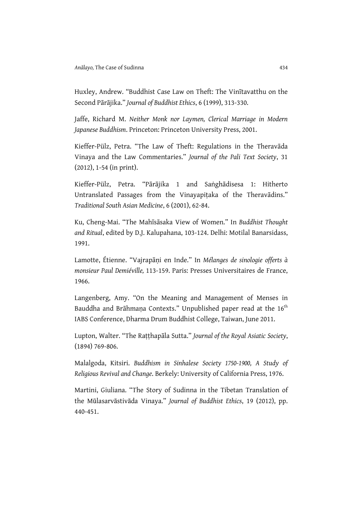Huxley, Andrew. "Buddhist Case Law on Theft: The Vinītavatthu on the Second Pārājika." Journal of Buddhist Ethics, 6 (1999), 313-330.

Jaffe, Richard M. Neither Monk nor Laymen, Clerical Marriage in Modern Japanese Buddhism. Princeton: Princeton University Press, 2001.

Kieffer-Pülz, Petra. "The Law of Theft: Regulations in the Theravāda Vinaya and the Law Commentaries." Journal of the Pali Text Society, 31 (2012), 1-54 (in print).

Kieffer-Pülz, Petra. "Pārājika 1 and Saṅghādisesa 1: Hitherto Untranslated Passages from the Vinayapitaka of the Theravādins." Traditional South Asian Medicine, 6 (2001), 62-84.

Ku, Cheng-Mai. "The Mahīsāsaka View of Women." In Buddhist Thought and Ritual, edited by D.J. Kalupahana, 103-124. Delhi: Motilal Banarsidass, 1991.

Lamotte, Étienne. "Vajrapāni en Inde." In Mélanges de sinologie offerts à monsieur Paul Demiéville, 113-159. Paris: Presses Universitaires de France, 1966.

Langenberg, Amy. "On the Meaning and Management of Menses in Bauddha and Brāhmaṇa Contexts." Unpublished paper read at the  $16<sup>th</sup>$ IABS Conference, Dharma Drum Buddhist College, Taiwan, June 2011.

Lupton, Walter. "The Ratthapāla Sutta." Journal of the Royal Asiatic Society, (1894) 769-806.

Malalgoda, Kitsiri. Buddhism in Sinhalese Society 1750-1900, A Study of Religious Revival and Change. Berkely: University of California Press, 1976.

Martini, Giuliana. "The Story of Sudinna in the Tibetan Translation of the Mūlasarvāstivāda Vinaya." Journal of Buddhist Ethics, 19 (2012), pp. 440-451.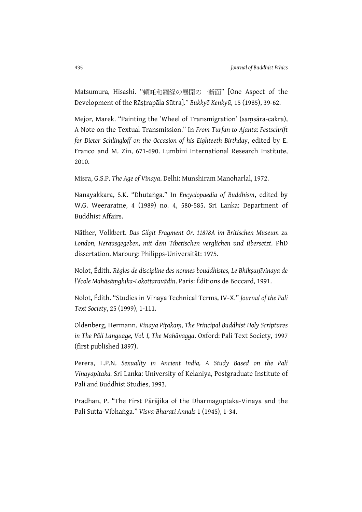Matsumura, Hisashi. "頼吒和羅経の展開の一断面" [One Aspect of the Development of the Rāṣṭrapāla Sūtra]." Bukkyō Kenkyū, 15 (1985), 39-62.

Mejor, Marek. "Painting the ʻWheel of Transmigration' (saṃsāra-cakra), A Note on the Textual Transmission." In From Turfan to Ajanta: Festschrift for Dieter Schlingloff on the Occasion of his Eighteeth Birthday, edited by E. Franco and M. Zin, 671-690. Lumbini International Research Institute, 2010.

Misra, G.S.P. The Age of Vinaya. Delhi: Munshiram Manoharlal, 1972.

Nanayakkara, S.K. "Dhutaṅga." In Encyclopaedia of Buddhism, edited by W.G. Weeraratne, 4 (1989) no. 4, 580-585. Sri Lanka: Department of Buddhist Affairs.

Näther, Volkbert. Das Gilgit Fragment Or. 11878A im Britischen Museum zu London, Herausgegeben, mit dem Tibetischen verglichen und übersetzt. PhD dissertation. Marburg: Philipps-Universität: 1975.

Nolot, Édith. Règles de discipline des nonnes bouddhistes, Le Bhiksunīvinaya de l'école Mahāsāṃghika-Lokottaravādin. Paris: Éditions de Boccard, 1991.

Nolot, Édith. "Studies in Vinaya Technical Terms, IV-X." Journal of the Pali Text Society, 25 (1999), 1-111.

Oldenberg, Hermann. Vinaya Piṭakaṃ, The Principal Buddhist Holy Scriptures in The Pāli Language, Vol. I, The Mahāvagga. Oxford: Pali Text Society, 1997 (first published 1897).

Perera, L.P.N. Sexuality in Ancient India, A Study Based on the Pali Vinayapitaka. Sri Lanka: University of Kelaniya, Postgraduate Institute of Pali and Buddhist Studies, 1993.

Pradhan, P. "The First Pārājika of the Dharmaguptaka-Vinaya and the Pali Sutta-Vibhaṅga." Visva-Bharati Annals 1 (1945), 1-34.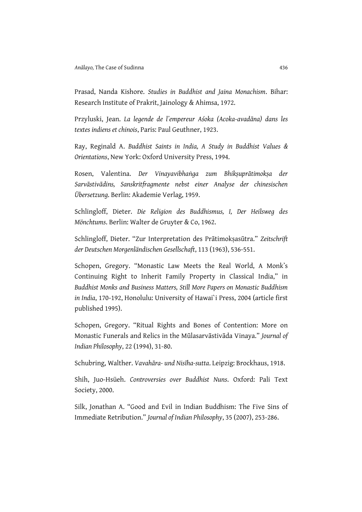Prasad, Nanda Kishore. Studies in Buddhist and Jaina Monachism. Bihar: Research Institute of Prakrit, Jainology & Ahimsa, 1972.

Przyluski, Jean. La legende de l'empereur Aśoka (Acoka-avadāna) dans les textes indiens et chinois, Paris: Paul Geuthner, 1923.

Ray, Reginald A. Buddhist Saints in India, A Study in Buddhist Values & Orientations, New York: Oxford University Press, 1994.

Rosen, Valentina. Der Vinayavibhaṅga zum Bhikṣuprātimokṣa der Sarvāstivādins, Sanskritfragmente nebst einer Analyse der chinesischen Übersetzung. Berlin: Akademie Verlag, 1959.

Schlingloff, Dieter. Die Religion des Buddhismus, I, Der Heilsweg des Mönchtums. Berlin: Walter de Gruyter & Co, 1962.

Schlingloff, Dieter. "Zur Interpretation des Prātimokṣasūtra." Zeitschrift der Deutschen Morgenländischen Gesellschaft, 113 (1963), 536-551.

Schopen, Gregory. "Monastic Law Meets the Real World, A Monk's Continuing Right to Inherit Family Property in Classical India," in Buddhist Monks and Business Matters, Still More Papers on Monastic Buddhism in India, 170-192, Honolulu: University of Hawai`i Press, 2004 (article first published 1995).

Schopen, Gregory. "Ritual Rights and Bones of Contention: More on Monastic Funerals and Relics in the Mūlasarvāstivāda Vinaya." Journal of Indian Philosophy, 22 (1994), 31-80.

Schubring, Walther. Vavahāra- und Nisīha-sutta. Leipzig: Brockhaus, 1918.

Shih, Juo-Hsüeh. Controversies over Buddhist Nuns. Oxford: Pali Text Society, 2000.

Silk, Jonathan A. "Good and Evil in Indian Buddhism: The Five Sins of Immediate Retribution." Journal of Indian Philosophy, 35 (2007), 253-286.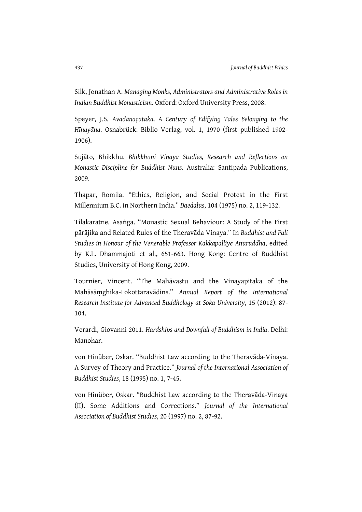Silk, Jonathan A. Managing Monks, Administrators and Administrative Roles in Indian Buddhist Monasticism. Oxford: Oxford University Press, 2008.

Speyer, J.S. Avadānaçataka, A Century of Edifying Tales Belonging to the Hīnayāna. Osnabrück: Biblio Verlag, vol. 1, 1970 (first published 1902- 1906).

Sujāto, Bhikkhu. Bhikkhuni Vinaya Studies, Research and Reflections on Monastic Discipline for Buddhist Nuns. Australia: Santipada Publications, 2009.

Thapar, Romila. "Ethics, Religion, and Social Protest in the First Millennium B.C. in Northern India." Daedalus, 104 (1975) no. 2, 119-132.

Tilakaratne, Asaṅga. "Monastic Sexual Behaviour: A Study of the First pārājika and Related Rules of the Theravāda Vinaya." In Buddhist and Pali Studies in Honour of the Venerable Professor Kakkapalliye Anuruddha, edited by K.L. Dhammajoti et al., 651-663. Hong Kong: Centre of Buddhist Studies, University of Hong Kong, 2009.

Tournier, Vincent. "The Mahāvastu and the Vinayapiṭaka of the Mahāsāṃghika-Lokottaravādins." Annual Report of the International Research Institute for Advanced Buddhology at Soka University, 15 (2012): 87- 104.

Verardi, Giovanni 2011. Hardships and Downfall of Buddhism in India. Delhi: Manohar.

von Hinüber, Oskar. "Buddhist Law according to the Theravāda-Vinaya. A Survey of Theory and Practice." Journal of the International Association of Buddhist Studies, 18 (1995) no. 1, 7-45.

von Hinüber, Oskar. "Buddhist Law according to the Theravāda-Vinaya (II). Some Additions and Corrections." Journal of the International Association of Buddhist Studies, 20 (1997) no. 2, 87-92.